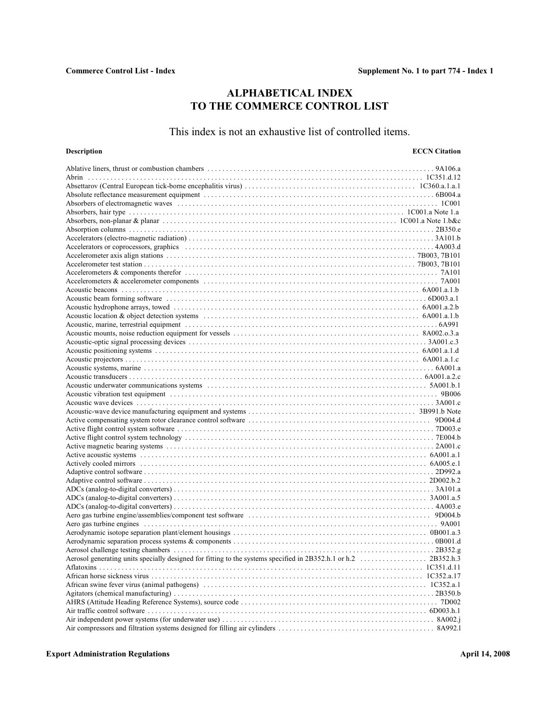# **ALPHABETICAL INDEX TO THE COMMERCE CONTROL LIST**

# This index is not an exhaustive list of controlled items.

# **Description ECCN Citation**

| Absorbers of electromagnetic waves increasing the content of the content of the content of the content of the content of the content of the content of the content of the content of the content of the content of the content |  |
|--------------------------------------------------------------------------------------------------------------------------------------------------------------------------------------------------------------------------------|--|
|                                                                                                                                                                                                                                |  |
|                                                                                                                                                                                                                                |  |
|                                                                                                                                                                                                                                |  |
|                                                                                                                                                                                                                                |  |
|                                                                                                                                                                                                                                |  |
|                                                                                                                                                                                                                                |  |
|                                                                                                                                                                                                                                |  |
|                                                                                                                                                                                                                                |  |
|                                                                                                                                                                                                                                |  |
|                                                                                                                                                                                                                                |  |
|                                                                                                                                                                                                                                |  |
|                                                                                                                                                                                                                                |  |
|                                                                                                                                                                                                                                |  |
|                                                                                                                                                                                                                                |  |
|                                                                                                                                                                                                                                |  |
|                                                                                                                                                                                                                                |  |
|                                                                                                                                                                                                                                |  |
|                                                                                                                                                                                                                                |  |
|                                                                                                                                                                                                                                |  |
|                                                                                                                                                                                                                                |  |
|                                                                                                                                                                                                                                |  |
|                                                                                                                                                                                                                                |  |
|                                                                                                                                                                                                                                |  |
|                                                                                                                                                                                                                                |  |
|                                                                                                                                                                                                                                |  |
|                                                                                                                                                                                                                                |  |
|                                                                                                                                                                                                                                |  |
|                                                                                                                                                                                                                                |  |
|                                                                                                                                                                                                                                |  |
| Active acoustic systems in the contract of the contract of the contract of the contract of A001.a.1                                                                                                                            |  |
|                                                                                                                                                                                                                                |  |
|                                                                                                                                                                                                                                |  |
|                                                                                                                                                                                                                                |  |
|                                                                                                                                                                                                                                |  |
|                                                                                                                                                                                                                                |  |
|                                                                                                                                                                                                                                |  |
|                                                                                                                                                                                                                                |  |
|                                                                                                                                                                                                                                |  |
|                                                                                                                                                                                                                                |  |
|                                                                                                                                                                                                                                |  |
|                                                                                                                                                                                                                                |  |
|                                                                                                                                                                                                                                |  |
|                                                                                                                                                                                                                                |  |
|                                                                                                                                                                                                                                |  |
|                                                                                                                                                                                                                                |  |
|                                                                                                                                                                                                                                |  |
|                                                                                                                                                                                                                                |  |
|                                                                                                                                                                                                                                |  |
|                                                                                                                                                                                                                                |  |
|                                                                                                                                                                                                                                |  |
|                                                                                                                                                                                                                                |  |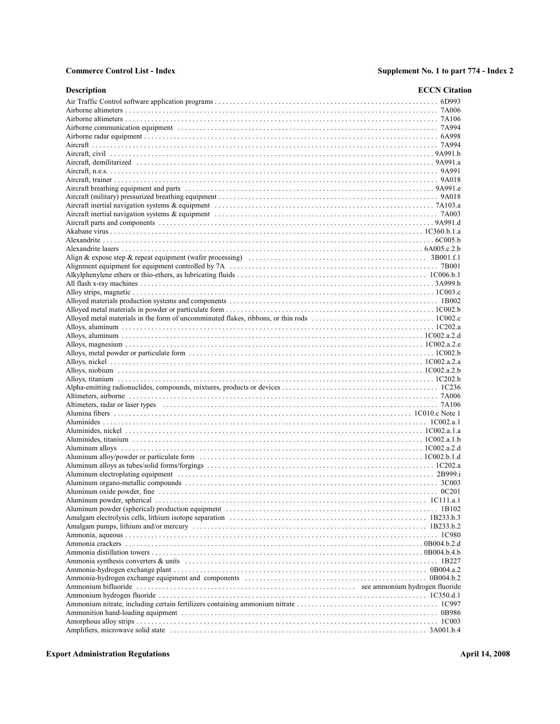| <b>Description</b>                   | <b>ECCN</b> Citation |
|--------------------------------------|----------------------|
|                                      |                      |
|                                      |                      |
|                                      |                      |
|                                      |                      |
|                                      |                      |
|                                      |                      |
|                                      |                      |
| Aircraft, demilitarized (a) (2991.a) |                      |
|                                      |                      |
|                                      |                      |
|                                      |                      |
|                                      |                      |
|                                      |                      |
|                                      |                      |
|                                      |                      |
|                                      |                      |
|                                      |                      |
|                                      |                      |
|                                      |                      |
|                                      |                      |
|                                      |                      |
|                                      |                      |
|                                      |                      |
|                                      |                      |
|                                      |                      |
|                                      |                      |
|                                      |                      |
|                                      |                      |
|                                      |                      |
|                                      |                      |
|                                      |                      |
|                                      |                      |
|                                      |                      |
|                                      |                      |
|                                      |                      |
|                                      |                      |
|                                      |                      |
|                                      |                      |
|                                      |                      |
|                                      |                      |
|                                      |                      |
|                                      |                      |
|                                      |                      |
|                                      |                      |
|                                      |                      |
|                                      |                      |
|                                      |                      |
|                                      |                      |
|                                      |                      |
|                                      |                      |
|                                      |                      |
|                                      |                      |
|                                      |                      |
|                                      |                      |
|                                      |                      |
|                                      |                      |
|                                      |                      |
|                                      |                      |
|                                      |                      |
|                                      |                      |
|                                      |                      |
|                                      |                      |
|                                      |                      |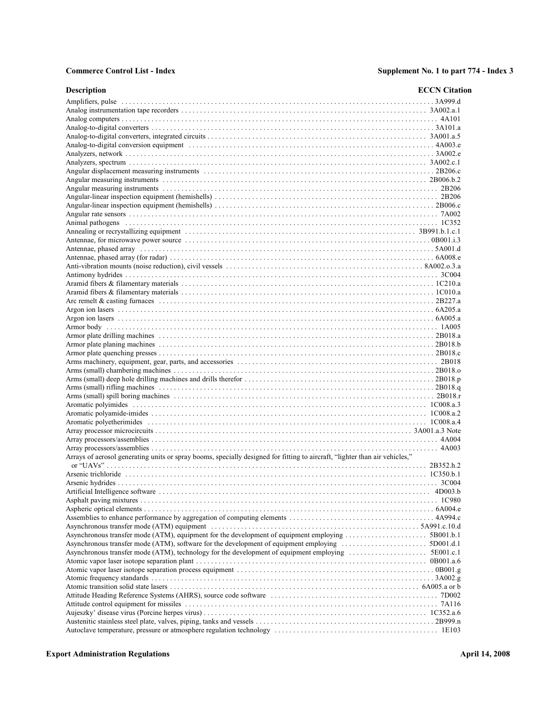| <b>Description</b>                                                                                                          | <b>ECCN</b> Citation |
|-----------------------------------------------------------------------------------------------------------------------------|----------------------|
|                                                                                                                             |                      |
|                                                                                                                             |                      |
|                                                                                                                             |                      |
|                                                                                                                             |                      |
|                                                                                                                             |                      |
|                                                                                                                             |                      |
|                                                                                                                             |                      |
|                                                                                                                             |                      |
|                                                                                                                             |                      |
|                                                                                                                             |                      |
|                                                                                                                             |                      |
|                                                                                                                             |                      |
|                                                                                                                             |                      |
|                                                                                                                             |                      |
|                                                                                                                             |                      |
|                                                                                                                             |                      |
|                                                                                                                             |                      |
|                                                                                                                             |                      |
|                                                                                                                             |                      |
|                                                                                                                             |                      |
|                                                                                                                             |                      |
|                                                                                                                             |                      |
|                                                                                                                             |                      |
|                                                                                                                             |                      |
|                                                                                                                             |                      |
|                                                                                                                             |                      |
|                                                                                                                             |                      |
|                                                                                                                             |                      |
|                                                                                                                             |                      |
|                                                                                                                             |                      |
|                                                                                                                             |                      |
|                                                                                                                             |                      |
|                                                                                                                             |                      |
|                                                                                                                             |                      |
|                                                                                                                             |                      |
|                                                                                                                             |                      |
|                                                                                                                             |                      |
|                                                                                                                             |                      |
|                                                                                                                             |                      |
|                                                                                                                             |                      |
|                                                                                                                             |                      |
|                                                                                                                             |                      |
|                                                                                                                             |                      |
| Arrays of aerosol generating units or spray booms, specially designed for fitting to aircraft, "lighter than air vehicles," |                      |
|                                                                                                                             |                      |
|                                                                                                                             |                      |
|                                                                                                                             |                      |
|                                                                                                                             |                      |
|                                                                                                                             |                      |
|                                                                                                                             |                      |
|                                                                                                                             |                      |
|                                                                                                                             |                      |
|                                                                                                                             |                      |
|                                                                                                                             |                      |
|                                                                                                                             |                      |
|                                                                                                                             |                      |
|                                                                                                                             |                      |
|                                                                                                                             |                      |
|                                                                                                                             |                      |
|                                                                                                                             |                      |
|                                                                                                                             |                      |
|                                                                                                                             |                      |
|                                                                                                                             |                      |
|                                                                                                                             |                      |
|                                                                                                                             |                      |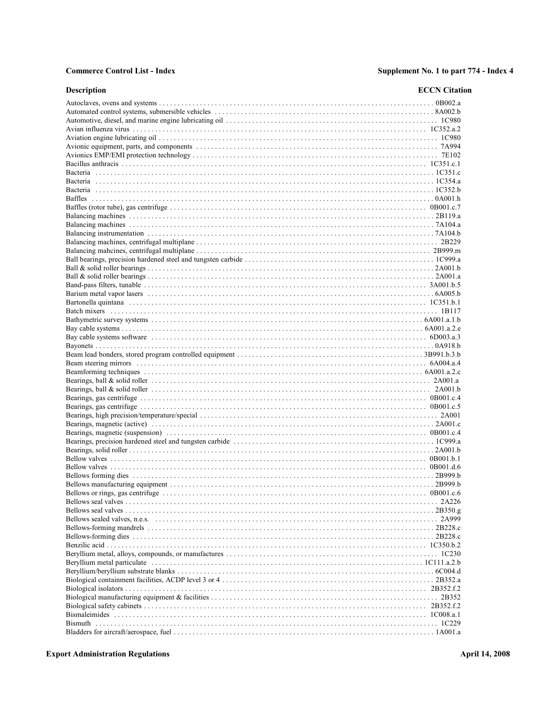### **Commerce Control List - Index**

# Supplement No. 1 to part 774 - Index 4

| <b>Description</b> | <b>ECCN</b> Citation |
|--------------------|----------------------|
|                    |                      |
|                    |                      |
|                    |                      |
|                    |                      |
|                    |                      |
|                    |                      |
|                    |                      |
|                    |                      |
|                    |                      |
|                    |                      |
|                    |                      |
|                    |                      |
|                    |                      |
|                    |                      |
|                    |                      |
|                    |                      |
|                    |                      |
|                    |                      |
|                    |                      |
|                    |                      |
|                    |                      |
|                    |                      |
|                    |                      |
|                    |                      |
|                    |                      |
|                    |                      |
|                    |                      |
|                    |                      |
|                    |                      |
|                    |                      |
|                    |                      |
|                    |                      |
|                    |                      |
|                    |                      |
|                    |                      |
|                    |                      |
|                    |                      |
|                    |                      |
|                    |                      |
|                    |                      |
|                    |                      |
|                    |                      |
|                    |                      |
|                    |                      |
|                    |                      |
|                    |                      |
|                    |                      |
|                    |                      |
|                    |                      |
|                    |                      |
|                    |                      |
|                    |                      |
|                    |                      |
|                    |                      |
|                    |                      |
|                    |                      |
|                    |                      |
|                    |                      |
|                    |                      |
|                    |                      |

**Export Administration Regulations**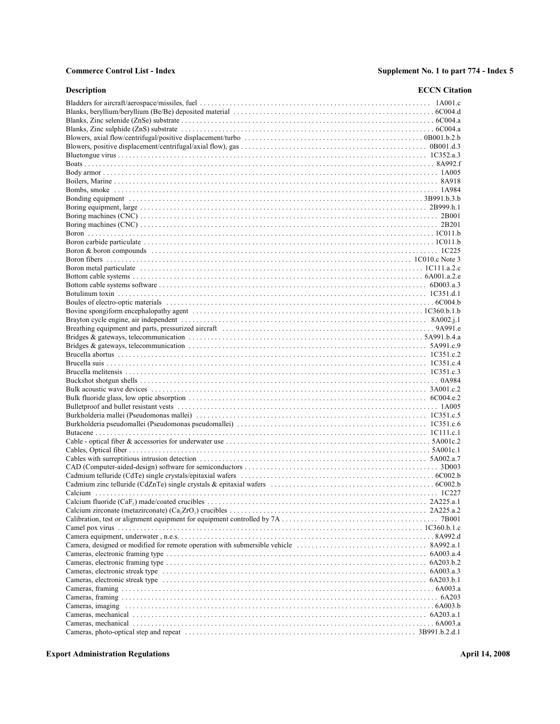| Description | <b>ECCN</b> Citation |
|-------------|----------------------|
|             |                      |
|             |                      |
|             |                      |
|             |                      |
|             |                      |
|             |                      |
|             |                      |
|             |                      |
|             |                      |
|             |                      |
|             |                      |
|             |                      |
|             |                      |
|             |                      |
|             |                      |
|             |                      |
|             |                      |
|             |                      |
|             |                      |
|             |                      |
|             |                      |
|             |                      |
|             |                      |
|             |                      |
|             |                      |
|             |                      |
|             |                      |
|             |                      |
|             |                      |
|             |                      |
|             |                      |
|             |                      |
|             |                      |
|             |                      |
|             |                      |
|             |                      |
|             |                      |
|             |                      |
|             |                      |
|             |                      |
|             |                      |
|             |                      |
|             |                      |
|             |                      |
|             |                      |
|             |                      |
|             |                      |
|             |                      |
|             |                      |
|             |                      |
|             |                      |
|             |                      |
|             |                      |
|             |                      |
|             |                      |
|             |                      |
|             |                      |
|             |                      |
|             |                      |
|             |                      |
|             |                      |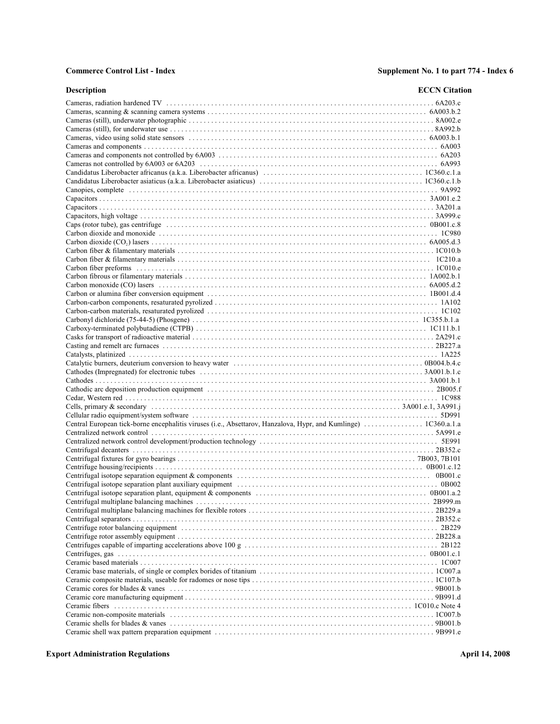| <b>Description</b>                                                                                                                                           | <b>ECCN</b> Citation |
|--------------------------------------------------------------------------------------------------------------------------------------------------------------|----------------------|
|                                                                                                                                                              |                      |
|                                                                                                                                                              |                      |
|                                                                                                                                                              |                      |
|                                                                                                                                                              |                      |
|                                                                                                                                                              |                      |
|                                                                                                                                                              |                      |
|                                                                                                                                                              |                      |
|                                                                                                                                                              |                      |
|                                                                                                                                                              |                      |
|                                                                                                                                                              |                      |
|                                                                                                                                                              |                      |
|                                                                                                                                                              |                      |
|                                                                                                                                                              |                      |
|                                                                                                                                                              |                      |
|                                                                                                                                                              |                      |
|                                                                                                                                                              |                      |
|                                                                                                                                                              |                      |
|                                                                                                                                                              |                      |
|                                                                                                                                                              |                      |
|                                                                                                                                                              |                      |
|                                                                                                                                                              |                      |
|                                                                                                                                                              |                      |
|                                                                                                                                                              |                      |
|                                                                                                                                                              |                      |
|                                                                                                                                                              |                      |
|                                                                                                                                                              |                      |
|                                                                                                                                                              |                      |
|                                                                                                                                                              |                      |
|                                                                                                                                                              |                      |
|                                                                                                                                                              |                      |
|                                                                                                                                                              |                      |
|                                                                                                                                                              |                      |
|                                                                                                                                                              |                      |
|                                                                                                                                                              |                      |
|                                                                                                                                                              |                      |
|                                                                                                                                                              |                      |
|                                                                                                                                                              |                      |
|                                                                                                                                                              |                      |
|                                                                                                                                                              |                      |
|                                                                                                                                                              |                      |
|                                                                                                                                                              |                      |
|                                                                                                                                                              |                      |
| Centrifugal isotope separation plant, equipment & components $\ldots \ldots \ldots \ldots \ldots \ldots \ldots \ldots \ldots \ldots \ldots \ldots$ 0B001.a.2 |                      |
|                                                                                                                                                              |                      |
|                                                                                                                                                              |                      |
|                                                                                                                                                              |                      |
|                                                                                                                                                              |                      |
|                                                                                                                                                              |                      |
|                                                                                                                                                              |                      |
|                                                                                                                                                              |                      |
|                                                                                                                                                              |                      |
|                                                                                                                                                              |                      |
|                                                                                                                                                              |                      |
|                                                                                                                                                              |                      |
|                                                                                                                                                              |                      |
|                                                                                                                                                              |                      |
|                                                                                                                                                              |                      |
|                                                                                                                                                              |                      |
|                                                                                                                                                              |                      |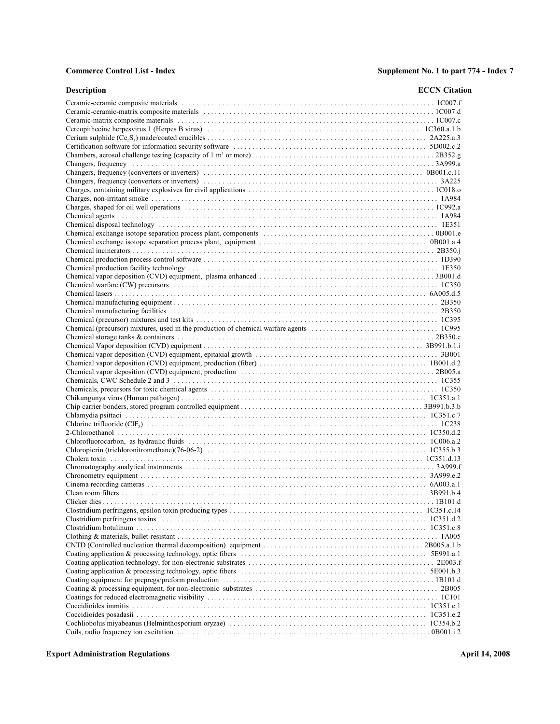| <b>Description</b> | <b>ECCN</b> Citation |
|--------------------|----------------------|
|                    |                      |
|                    |                      |
|                    |                      |
|                    |                      |
|                    |                      |
|                    |                      |
|                    |                      |
|                    |                      |
|                    |                      |
|                    |                      |
|                    |                      |
|                    |                      |
|                    |                      |
|                    |                      |
|                    |                      |
|                    |                      |
|                    |                      |
|                    |                      |
|                    |                      |
|                    |                      |
|                    |                      |
|                    |                      |
|                    |                      |
|                    |                      |
|                    |                      |
|                    |                      |
|                    |                      |
|                    |                      |
|                    |                      |
|                    |                      |
|                    |                      |
|                    |                      |
|                    |                      |
|                    |                      |
|                    |                      |
|                    |                      |
|                    |                      |
|                    |                      |
|                    |                      |
|                    |                      |
|                    |                      |
|                    |                      |
|                    |                      |
|                    |                      |
|                    |                      |
|                    |                      |
|                    |                      |
|                    |                      |
|                    |                      |
|                    |                      |
|                    |                      |
|                    |                      |
|                    |                      |
|                    |                      |
|                    |                      |
|                    |                      |
|                    |                      |
|                    |                      |
|                    |                      |
|                    |                      |
|                    |                      |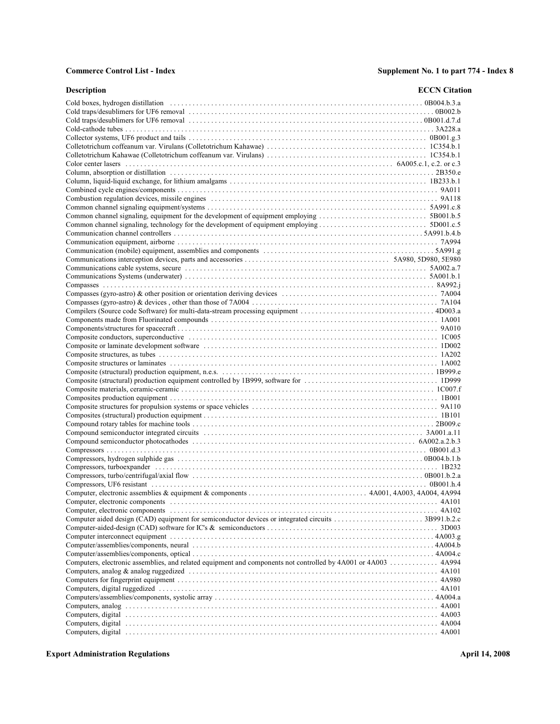| <b>Description</b>                                                                                             | <b>ECCN</b> Citation |
|----------------------------------------------------------------------------------------------------------------|----------------------|
|                                                                                                                |                      |
|                                                                                                                |                      |
|                                                                                                                |                      |
|                                                                                                                |                      |
|                                                                                                                |                      |
|                                                                                                                |                      |
|                                                                                                                |                      |
|                                                                                                                |                      |
|                                                                                                                |                      |
|                                                                                                                |                      |
|                                                                                                                |                      |
|                                                                                                                |                      |
|                                                                                                                |                      |
|                                                                                                                |                      |
|                                                                                                                |                      |
|                                                                                                                |                      |
|                                                                                                                |                      |
|                                                                                                                |                      |
|                                                                                                                |                      |
|                                                                                                                |                      |
|                                                                                                                |                      |
|                                                                                                                |                      |
|                                                                                                                |                      |
|                                                                                                                |                      |
|                                                                                                                |                      |
|                                                                                                                |                      |
|                                                                                                                |                      |
|                                                                                                                |                      |
|                                                                                                                |                      |
|                                                                                                                |                      |
|                                                                                                                |                      |
|                                                                                                                |                      |
|                                                                                                                |                      |
|                                                                                                                |                      |
|                                                                                                                |                      |
|                                                                                                                |                      |
|                                                                                                                |                      |
|                                                                                                                |                      |
|                                                                                                                |                      |
|                                                                                                                |                      |
|                                                                                                                |                      |
|                                                                                                                |                      |
|                                                                                                                |                      |
|                                                                                                                |                      |
|                                                                                                                |                      |
|                                                                                                                |                      |
|                                                                                                                |                      |
|                                                                                                                |                      |
|                                                                                                                |                      |
|                                                                                                                |                      |
|                                                                                                                |                      |
|                                                                                                                |                      |
|                                                                                                                |                      |
| Computers, electronic assemblies, and related equipment and components not controlled by 4A001 or 4A003  4A994 |                      |
|                                                                                                                |                      |
|                                                                                                                |                      |
|                                                                                                                |                      |
|                                                                                                                |                      |
|                                                                                                                |                      |
|                                                                                                                |                      |
|                                                                                                                |                      |
|                                                                                                                |                      |
|                                                                                                                |                      |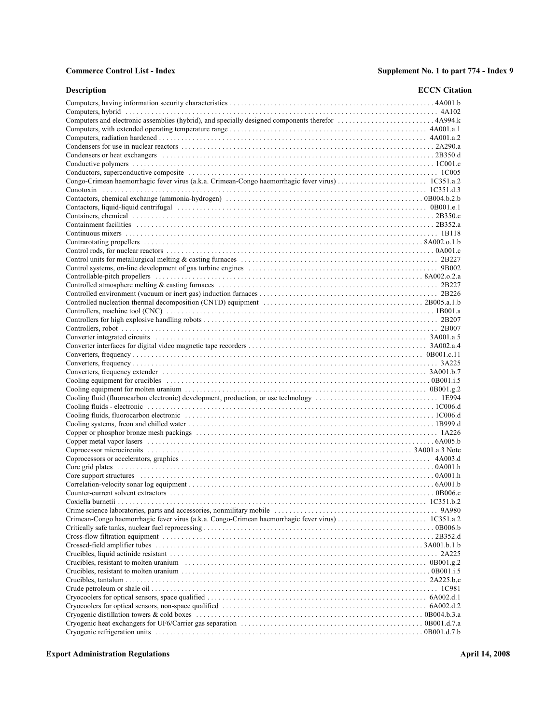| <b>Description</b>                                                                                                              | <b>ECCN</b> Citation |
|---------------------------------------------------------------------------------------------------------------------------------|----------------------|
|                                                                                                                                 |                      |
|                                                                                                                                 |                      |
|                                                                                                                                 |                      |
|                                                                                                                                 |                      |
|                                                                                                                                 |                      |
|                                                                                                                                 |                      |
|                                                                                                                                 |                      |
|                                                                                                                                 |                      |
|                                                                                                                                 |                      |
|                                                                                                                                 |                      |
|                                                                                                                                 |                      |
|                                                                                                                                 |                      |
|                                                                                                                                 |                      |
|                                                                                                                                 |                      |
|                                                                                                                                 |                      |
|                                                                                                                                 |                      |
|                                                                                                                                 |                      |
|                                                                                                                                 |                      |
|                                                                                                                                 |                      |
|                                                                                                                                 |                      |
|                                                                                                                                 |                      |
|                                                                                                                                 |                      |
|                                                                                                                                 |                      |
|                                                                                                                                 |                      |
|                                                                                                                                 |                      |
|                                                                                                                                 |                      |
|                                                                                                                                 |                      |
|                                                                                                                                 |                      |
|                                                                                                                                 |                      |
|                                                                                                                                 |                      |
|                                                                                                                                 |                      |
|                                                                                                                                 |                      |
|                                                                                                                                 |                      |
|                                                                                                                                 |                      |
|                                                                                                                                 |                      |
|                                                                                                                                 |                      |
|                                                                                                                                 |                      |
|                                                                                                                                 |                      |
|                                                                                                                                 |                      |
|                                                                                                                                 |                      |
|                                                                                                                                 |                      |
| Core support structures encourance contained and the core support structure of the core support structures encounter $0A001$ .h |                      |
|                                                                                                                                 |                      |
|                                                                                                                                 |                      |
|                                                                                                                                 |                      |
|                                                                                                                                 |                      |
|                                                                                                                                 |                      |
|                                                                                                                                 |                      |
|                                                                                                                                 |                      |
|                                                                                                                                 |                      |
|                                                                                                                                 |                      |
|                                                                                                                                 |                      |
|                                                                                                                                 |                      |
|                                                                                                                                 |                      |
|                                                                                                                                 |                      |
|                                                                                                                                 |                      |
|                                                                                                                                 |                      |
|                                                                                                                                 |                      |
|                                                                                                                                 |                      |
|                                                                                                                                 |                      |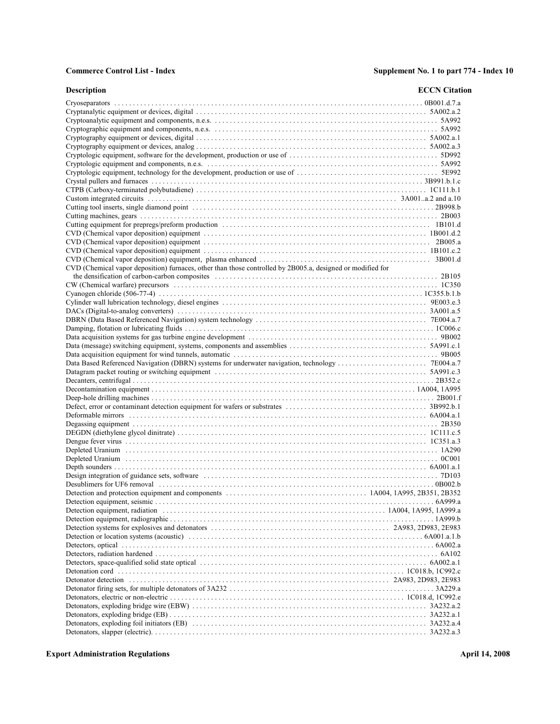| <b>Description</b>                                                                                         | <b>ECCN</b> Citation |
|------------------------------------------------------------------------------------------------------------|----------------------|
|                                                                                                            |                      |
|                                                                                                            |                      |
|                                                                                                            |                      |
|                                                                                                            |                      |
|                                                                                                            |                      |
|                                                                                                            |                      |
|                                                                                                            |                      |
|                                                                                                            |                      |
|                                                                                                            |                      |
|                                                                                                            |                      |
|                                                                                                            |                      |
|                                                                                                            |                      |
|                                                                                                            |                      |
|                                                                                                            |                      |
|                                                                                                            |                      |
|                                                                                                            |                      |
|                                                                                                            |                      |
|                                                                                                            |                      |
|                                                                                                            |                      |
| CVD (Chemical vapor deposition) furnaces, other than those controlled by 2B005.a, designed or modified for |                      |
|                                                                                                            |                      |
|                                                                                                            |                      |
|                                                                                                            |                      |
|                                                                                                            |                      |
|                                                                                                            |                      |
|                                                                                                            |                      |
|                                                                                                            |                      |
|                                                                                                            |                      |
|                                                                                                            |                      |
|                                                                                                            |                      |
|                                                                                                            |                      |
|                                                                                                            |                      |
|                                                                                                            |                      |
|                                                                                                            |                      |
|                                                                                                            |                      |
|                                                                                                            |                      |
|                                                                                                            |                      |
|                                                                                                            |                      |
|                                                                                                            |                      |
|                                                                                                            |                      |
|                                                                                                            |                      |
|                                                                                                            |                      |
|                                                                                                            |                      |
|                                                                                                            |                      |
|                                                                                                            |                      |
|                                                                                                            |                      |
|                                                                                                            |                      |
|                                                                                                            |                      |
|                                                                                                            |                      |
|                                                                                                            |                      |
|                                                                                                            |                      |
|                                                                                                            |                      |
|                                                                                                            |                      |
|                                                                                                            |                      |
|                                                                                                            |                      |
|                                                                                                            |                      |
|                                                                                                            |                      |
|                                                                                                            |                      |
|                                                                                                            |                      |
|                                                                                                            |                      |
|                                                                                                            |                      |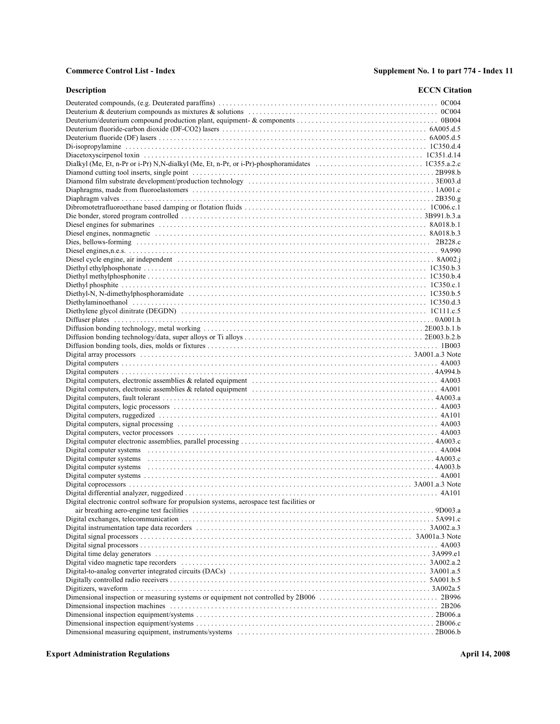| <b>Description</b>                                                                       | <b>ECCN</b> Citation |
|------------------------------------------------------------------------------------------|----------------------|
|                                                                                          |                      |
|                                                                                          |                      |
|                                                                                          |                      |
|                                                                                          |                      |
|                                                                                          |                      |
|                                                                                          |                      |
|                                                                                          |                      |
|                                                                                          |                      |
|                                                                                          |                      |
|                                                                                          |                      |
|                                                                                          |                      |
|                                                                                          |                      |
|                                                                                          |                      |
|                                                                                          |                      |
|                                                                                          |                      |
|                                                                                          |                      |
|                                                                                          |                      |
|                                                                                          |                      |
|                                                                                          |                      |
|                                                                                          |                      |
|                                                                                          |                      |
|                                                                                          |                      |
|                                                                                          |                      |
|                                                                                          |                      |
|                                                                                          |                      |
|                                                                                          |                      |
|                                                                                          |                      |
|                                                                                          |                      |
|                                                                                          |                      |
|                                                                                          |                      |
|                                                                                          |                      |
|                                                                                          |                      |
|                                                                                          |                      |
|                                                                                          |                      |
|                                                                                          |                      |
|                                                                                          |                      |
|                                                                                          |                      |
|                                                                                          |                      |
|                                                                                          |                      |
|                                                                                          |                      |
|                                                                                          |                      |
|                                                                                          |                      |
|                                                                                          |                      |
|                                                                                          |                      |
|                                                                                          |                      |
|                                                                                          |                      |
| Digital electronic control software for propulsion systems, aerospace test facilities or |                      |
|                                                                                          |                      |
|                                                                                          |                      |
|                                                                                          |                      |
|                                                                                          |                      |
|                                                                                          |                      |
|                                                                                          |                      |
|                                                                                          |                      |
|                                                                                          |                      |
|                                                                                          |                      |
|                                                                                          |                      |
|                                                                                          |                      |
|                                                                                          |                      |
|                                                                                          |                      |
|                                                                                          |                      |
|                                                                                          |                      |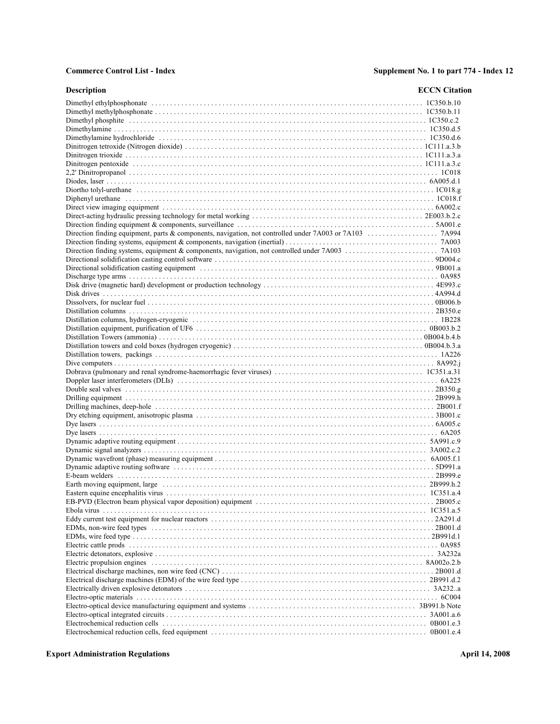| <b>Description</b>                                                                                                                                                                                                             | <b>ECCN</b> Citation |
|--------------------------------------------------------------------------------------------------------------------------------------------------------------------------------------------------------------------------------|----------------------|
|                                                                                                                                                                                                                                |                      |
|                                                                                                                                                                                                                                |                      |
|                                                                                                                                                                                                                                |                      |
|                                                                                                                                                                                                                                |                      |
|                                                                                                                                                                                                                                |                      |
|                                                                                                                                                                                                                                |                      |
|                                                                                                                                                                                                                                |                      |
|                                                                                                                                                                                                                                |                      |
|                                                                                                                                                                                                                                |                      |
|                                                                                                                                                                                                                                |                      |
|                                                                                                                                                                                                                                |                      |
| Diphenyl ure than e contain the control of the control of the control of the control of the control of the control of the control of the control of the control of the control of the control of the control of the control of |                      |
|                                                                                                                                                                                                                                |                      |
|                                                                                                                                                                                                                                |                      |
|                                                                                                                                                                                                                                |                      |
|                                                                                                                                                                                                                                |                      |
|                                                                                                                                                                                                                                |                      |
|                                                                                                                                                                                                                                |                      |
|                                                                                                                                                                                                                                |                      |
|                                                                                                                                                                                                                                |                      |
|                                                                                                                                                                                                                                |                      |
|                                                                                                                                                                                                                                |                      |
|                                                                                                                                                                                                                                |                      |
|                                                                                                                                                                                                                                |                      |
|                                                                                                                                                                                                                                |                      |
|                                                                                                                                                                                                                                |                      |
|                                                                                                                                                                                                                                |                      |
|                                                                                                                                                                                                                                |                      |
|                                                                                                                                                                                                                                |                      |
|                                                                                                                                                                                                                                |                      |
|                                                                                                                                                                                                                                |                      |
|                                                                                                                                                                                                                                |                      |
|                                                                                                                                                                                                                                |                      |
|                                                                                                                                                                                                                                |                      |
|                                                                                                                                                                                                                                |                      |
|                                                                                                                                                                                                                                |                      |
|                                                                                                                                                                                                                                |                      |
|                                                                                                                                                                                                                                |                      |
|                                                                                                                                                                                                                                |                      |
|                                                                                                                                                                                                                                |                      |
|                                                                                                                                                                                                                                |                      |
|                                                                                                                                                                                                                                |                      |
|                                                                                                                                                                                                                                |                      |
|                                                                                                                                                                                                                                |                      |
|                                                                                                                                                                                                                                |                      |
|                                                                                                                                                                                                                                |                      |
|                                                                                                                                                                                                                                |                      |
|                                                                                                                                                                                                                                |                      |
|                                                                                                                                                                                                                                |                      |
|                                                                                                                                                                                                                                |                      |
|                                                                                                                                                                                                                                |                      |
|                                                                                                                                                                                                                                |                      |
|                                                                                                                                                                                                                                |                      |
|                                                                                                                                                                                                                                |                      |
|                                                                                                                                                                                                                                |                      |
|                                                                                                                                                                                                                                |                      |
|                                                                                                                                                                                                                                |                      |
|                                                                                                                                                                                                                                |                      |
|                                                                                                                                                                                                                                |                      |
|                                                                                                                                                                                                                                |                      |
|                                                                                                                                                                                                                                |                      |
|                                                                                                                                                                                                                                |                      |
|                                                                                                                                                                                                                                |                      |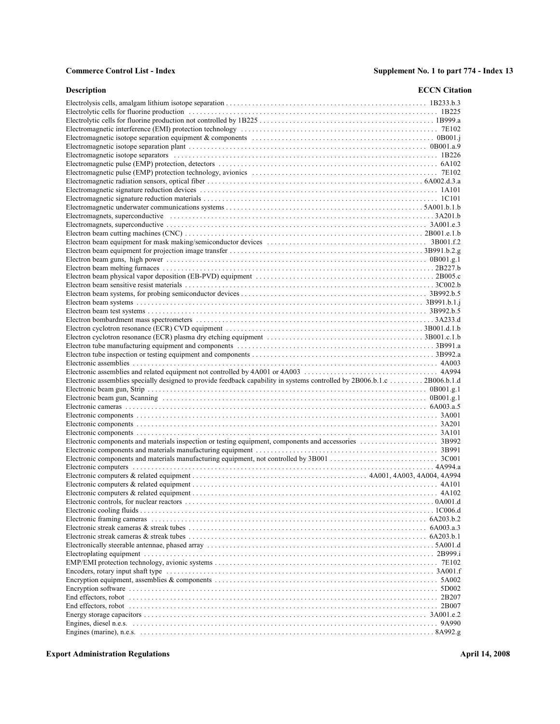| <b>Description</b>                                                                                                                                                                                                             | <b>ECCN</b> Citation |
|--------------------------------------------------------------------------------------------------------------------------------------------------------------------------------------------------------------------------------|----------------------|
|                                                                                                                                                                                                                                |                      |
|                                                                                                                                                                                                                                |                      |
|                                                                                                                                                                                                                                |                      |
|                                                                                                                                                                                                                                |                      |
|                                                                                                                                                                                                                                |                      |
|                                                                                                                                                                                                                                |                      |
|                                                                                                                                                                                                                                |                      |
|                                                                                                                                                                                                                                |                      |
|                                                                                                                                                                                                                                |                      |
|                                                                                                                                                                                                                                |                      |
|                                                                                                                                                                                                                                |                      |
|                                                                                                                                                                                                                                |                      |
|                                                                                                                                                                                                                                |                      |
|                                                                                                                                                                                                                                |                      |
|                                                                                                                                                                                                                                |                      |
|                                                                                                                                                                                                                                |                      |
|                                                                                                                                                                                                                                |                      |
|                                                                                                                                                                                                                                |                      |
|                                                                                                                                                                                                                                |                      |
|                                                                                                                                                                                                                                |                      |
|                                                                                                                                                                                                                                |                      |
|                                                                                                                                                                                                                                |                      |
|                                                                                                                                                                                                                                |                      |
|                                                                                                                                                                                                                                |                      |
|                                                                                                                                                                                                                                |                      |
|                                                                                                                                                                                                                                |                      |
|                                                                                                                                                                                                                                |                      |
|                                                                                                                                                                                                                                |                      |
|                                                                                                                                                                                                                                |                      |
|                                                                                                                                                                                                                                |                      |
|                                                                                                                                                                                                                                |                      |
| Electronic assemblies specially designed to provide feedback capability in systems controlled by 2B006.b.1.c 2B006.b.1.d                                                                                                       |                      |
|                                                                                                                                                                                                                                |                      |
|                                                                                                                                                                                                                                |                      |
|                                                                                                                                                                                                                                |                      |
|                                                                                                                                                                                                                                |                      |
|                                                                                                                                                                                                                                |                      |
|                                                                                                                                                                                                                                |                      |
|                                                                                                                                                                                                                                |                      |
|                                                                                                                                                                                                                                |                      |
|                                                                                                                                                                                                                                |                      |
|                                                                                                                                                                                                                                |                      |
|                                                                                                                                                                                                                                |                      |
|                                                                                                                                                                                                                                |                      |
|                                                                                                                                                                                                                                |                      |
|                                                                                                                                                                                                                                |                      |
|                                                                                                                                                                                                                                |                      |
|                                                                                                                                                                                                                                |                      |
|                                                                                                                                                                                                                                |                      |
|                                                                                                                                                                                                                                |                      |
|                                                                                                                                                                                                                                |                      |
|                                                                                                                                                                                                                                |                      |
|                                                                                                                                                                                                                                |                      |
|                                                                                                                                                                                                                                |                      |
|                                                                                                                                                                                                                                |                      |
| End effectors, robot contains and according to the contact of the contact of the contact of the contact of the contact of the contact of the contact of the contact of the contact of the contact of the contact of the contac |                      |
| End effectors, robot contains and according to the contact of the contact of the contact of the contact of the contact of the contact of the contact of the contact of the contact of the contact of the contact of the contac |                      |
|                                                                                                                                                                                                                                |                      |
|                                                                                                                                                                                                                                |                      |
|                                                                                                                                                                                                                                |                      |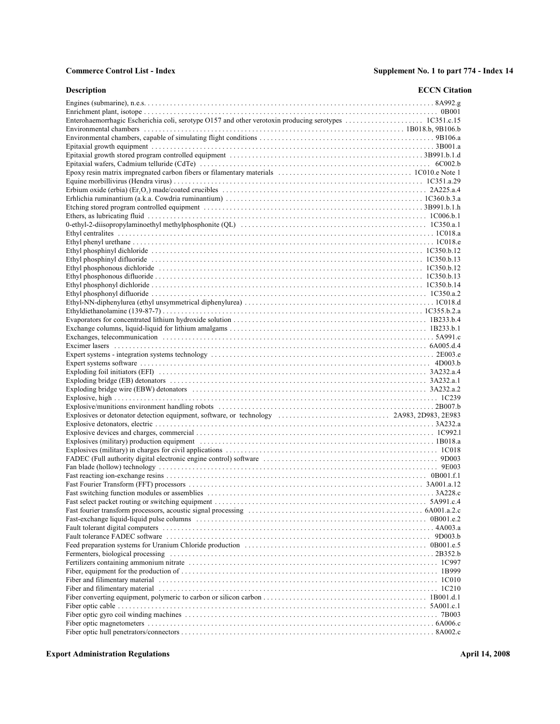| <b>Description</b> | <b>ECCN</b> Citation |
|--------------------|----------------------|
|                    |                      |
|                    |                      |
|                    |                      |
|                    |                      |
|                    |                      |
|                    |                      |
|                    |                      |
|                    |                      |
|                    |                      |
|                    |                      |
|                    |                      |
|                    |                      |
|                    |                      |
|                    |                      |
|                    |                      |
|                    |                      |
|                    |                      |
|                    |                      |
|                    |                      |
|                    |                      |
|                    |                      |
|                    |                      |
|                    |                      |
|                    |                      |
|                    |                      |
|                    |                      |
|                    |                      |
|                    |                      |
|                    |                      |
|                    |                      |
|                    |                      |
|                    |                      |
|                    |                      |
|                    |                      |
|                    |                      |
|                    |                      |
|                    |                      |
|                    |                      |
|                    |                      |
|                    |                      |
|                    |                      |
|                    |                      |
|                    |                      |
|                    |                      |
|                    |                      |
|                    |                      |
|                    |                      |
|                    |                      |
|                    |                      |
|                    |                      |
|                    |                      |
|                    |                      |
|                    |                      |
|                    |                      |
|                    |                      |
|                    |                      |
|                    |                      |
|                    |                      |
|                    |                      |
|                    |                      |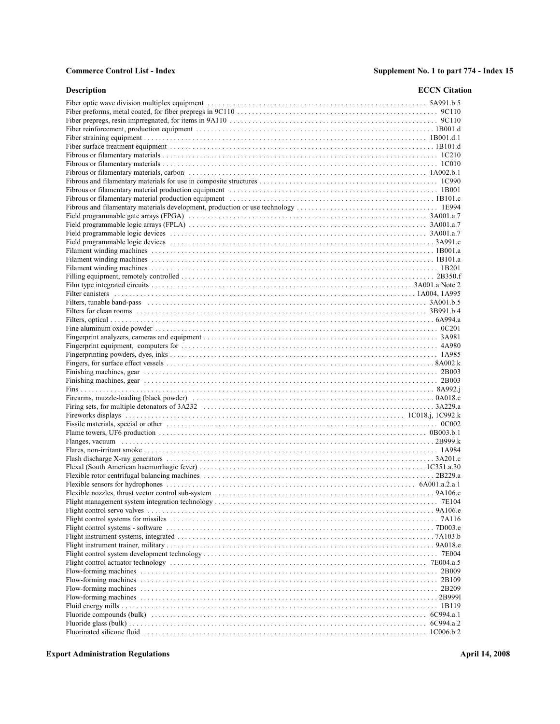| <b>Description</b>                                                                                             | <b>ECCN</b> Citation |
|----------------------------------------------------------------------------------------------------------------|----------------------|
|                                                                                                                |                      |
|                                                                                                                |                      |
|                                                                                                                |                      |
|                                                                                                                |                      |
|                                                                                                                |                      |
|                                                                                                                |                      |
|                                                                                                                |                      |
|                                                                                                                |                      |
|                                                                                                                |                      |
|                                                                                                                |                      |
| Fibrous or filamentary material production equipment (and according contract and according to the set of 1B001 |                      |
|                                                                                                                |                      |
|                                                                                                                |                      |
|                                                                                                                |                      |
|                                                                                                                |                      |
|                                                                                                                |                      |
|                                                                                                                |                      |
|                                                                                                                |                      |
|                                                                                                                |                      |
|                                                                                                                |                      |
|                                                                                                                |                      |
|                                                                                                                |                      |
|                                                                                                                |                      |
|                                                                                                                |                      |
|                                                                                                                |                      |
|                                                                                                                |                      |
|                                                                                                                |                      |
|                                                                                                                |                      |
|                                                                                                                |                      |
|                                                                                                                |                      |
|                                                                                                                |                      |
|                                                                                                                |                      |
|                                                                                                                |                      |
|                                                                                                                |                      |
|                                                                                                                |                      |
|                                                                                                                |                      |
|                                                                                                                |                      |
|                                                                                                                |                      |
|                                                                                                                |                      |
|                                                                                                                |                      |
|                                                                                                                |                      |
|                                                                                                                |                      |
|                                                                                                                |                      |
|                                                                                                                |                      |
|                                                                                                                |                      |
|                                                                                                                |                      |
|                                                                                                                |                      |
|                                                                                                                |                      |
|                                                                                                                |                      |
|                                                                                                                |                      |
|                                                                                                                |                      |
|                                                                                                                |                      |
|                                                                                                                |                      |
|                                                                                                                |                      |
|                                                                                                                |                      |
|                                                                                                                |                      |
|                                                                                                                |                      |
|                                                                                                                |                      |
|                                                                                                                |                      |
|                                                                                                                |                      |
|                                                                                                                |                      |
|                                                                                                                |                      |
|                                                                                                                |                      |
|                                                                                                                |                      |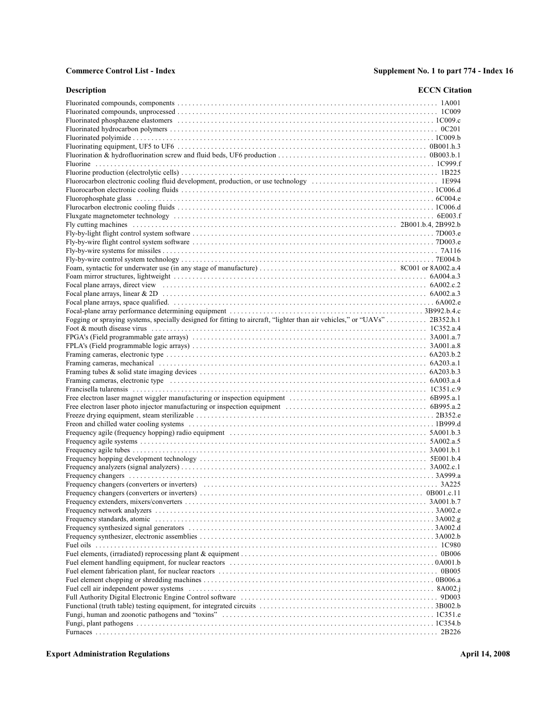| <b>Description</b>                                                                                                         | <b>ECCN</b> Citation |
|----------------------------------------------------------------------------------------------------------------------------|----------------------|
|                                                                                                                            |                      |
|                                                                                                                            |                      |
|                                                                                                                            |                      |
|                                                                                                                            |                      |
|                                                                                                                            |                      |
|                                                                                                                            |                      |
|                                                                                                                            |                      |
|                                                                                                                            |                      |
|                                                                                                                            |                      |
|                                                                                                                            |                      |
|                                                                                                                            |                      |
|                                                                                                                            |                      |
|                                                                                                                            |                      |
|                                                                                                                            |                      |
|                                                                                                                            |                      |
|                                                                                                                            |                      |
|                                                                                                                            |                      |
|                                                                                                                            |                      |
|                                                                                                                            |                      |
|                                                                                                                            |                      |
|                                                                                                                            |                      |
|                                                                                                                            |                      |
|                                                                                                                            |                      |
|                                                                                                                            |                      |
| Fogging or spraying systems, specially designed for fitting to aircraft, "lighter than air vehicles," or "UAVs"  2B352.h.1 |                      |
|                                                                                                                            |                      |
|                                                                                                                            |                      |
|                                                                                                                            |                      |
|                                                                                                                            |                      |
|                                                                                                                            |                      |
|                                                                                                                            |                      |
|                                                                                                                            |                      |
|                                                                                                                            |                      |
|                                                                                                                            |                      |
|                                                                                                                            |                      |
|                                                                                                                            |                      |
|                                                                                                                            |                      |
|                                                                                                                            |                      |
|                                                                                                                            |                      |
|                                                                                                                            |                      |
|                                                                                                                            |                      |
|                                                                                                                            |                      |
|                                                                                                                            |                      |
|                                                                                                                            |                      |
|                                                                                                                            |                      |
|                                                                                                                            |                      |
|                                                                                                                            |                      |
|                                                                                                                            |                      |
|                                                                                                                            |                      |
|                                                                                                                            |                      |
|                                                                                                                            |                      |
|                                                                                                                            |                      |
|                                                                                                                            |                      |
|                                                                                                                            |                      |
|                                                                                                                            |                      |
|                                                                                                                            |                      |
|                                                                                                                            |                      |
|                                                                                                                            |                      |
|                                                                                                                            |                      |
|                                                                                                                            |                      |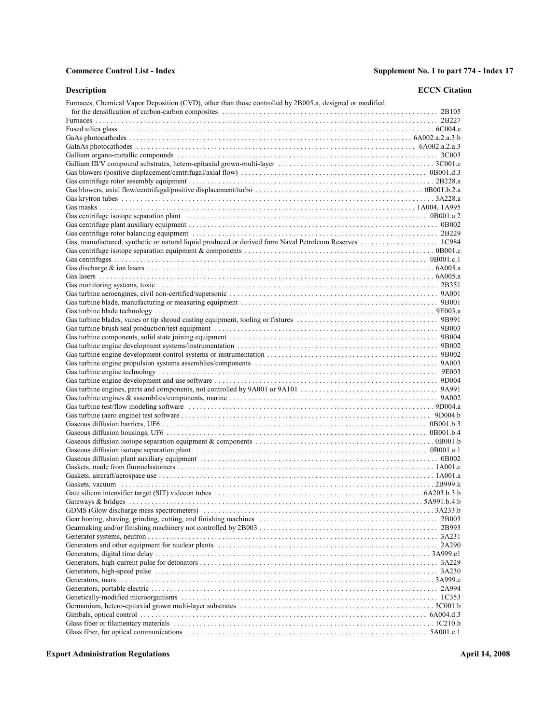| Furnaces, Chemical Vapor Deposition (CVD), other than those controlled by 2B005.a, designed or modified | Description | <b>ECCN</b> Citation |
|---------------------------------------------------------------------------------------------------------|-------------|----------------------|
|                                                                                                         |             |                      |
|                                                                                                         |             |                      |
|                                                                                                         |             |                      |
|                                                                                                         |             |                      |
|                                                                                                         |             |                      |
|                                                                                                         |             |                      |
|                                                                                                         |             |                      |
|                                                                                                         |             |                      |
|                                                                                                         |             |                      |
|                                                                                                         |             |                      |
|                                                                                                         |             |                      |
|                                                                                                         |             |                      |
|                                                                                                         |             |                      |
|                                                                                                         |             |                      |
|                                                                                                         |             |                      |
|                                                                                                         |             |                      |
|                                                                                                         |             |                      |
|                                                                                                         |             |                      |
|                                                                                                         |             |                      |
|                                                                                                         |             |                      |
|                                                                                                         |             |                      |
|                                                                                                         |             |                      |
|                                                                                                         |             |                      |
|                                                                                                         |             |                      |
|                                                                                                         |             |                      |
|                                                                                                         |             |                      |
|                                                                                                         |             |                      |
|                                                                                                         |             |                      |
|                                                                                                         |             |                      |
|                                                                                                         |             |                      |
|                                                                                                         |             |                      |
|                                                                                                         |             |                      |
|                                                                                                         |             |                      |
|                                                                                                         |             |                      |
|                                                                                                         |             |                      |
|                                                                                                         |             |                      |
|                                                                                                         |             |                      |
|                                                                                                         |             |                      |
|                                                                                                         |             |                      |
|                                                                                                         |             |                      |
|                                                                                                         |             |                      |
|                                                                                                         |             |                      |
|                                                                                                         |             |                      |
|                                                                                                         |             |                      |
|                                                                                                         |             |                      |
|                                                                                                         |             |                      |
|                                                                                                         |             |                      |
|                                                                                                         |             |                      |
|                                                                                                         |             |                      |
|                                                                                                         |             |                      |
|                                                                                                         |             |                      |
|                                                                                                         |             |                      |
|                                                                                                         |             |                      |
|                                                                                                         |             |                      |
|                                                                                                         |             |                      |
|                                                                                                         |             |                      |
|                                                                                                         |             |                      |
|                                                                                                         |             |                      |
|                                                                                                         |             |                      |
|                                                                                                         |             |                      |
|                                                                                                         |             |                      |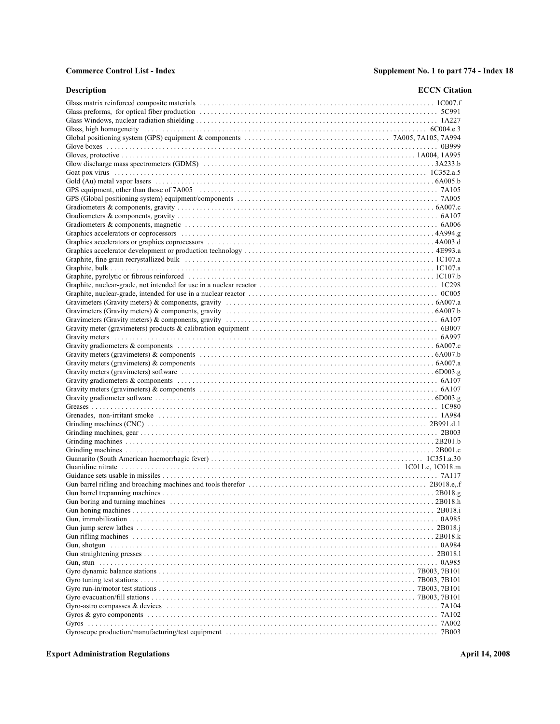| <b>Description</b> | <b>ECCN</b> Citation |
|--------------------|----------------------|
|                    |                      |
|                    |                      |
|                    |                      |
|                    |                      |
|                    |                      |
|                    |                      |
|                    |                      |
|                    |                      |
|                    |                      |
|                    |                      |
|                    |                      |
|                    |                      |
|                    |                      |
|                    |                      |
|                    |                      |
|                    |                      |
|                    |                      |
|                    |                      |
|                    |                      |
|                    |                      |
|                    |                      |
|                    |                      |
|                    |                      |
|                    |                      |
|                    |                      |
|                    |                      |
|                    |                      |
|                    |                      |
|                    |                      |
|                    |                      |
|                    |                      |
|                    |                      |
|                    |                      |
|                    |                      |
|                    |                      |
|                    |                      |
|                    |                      |
|                    |                      |
|                    |                      |
|                    |                      |
|                    |                      |
|                    |                      |
|                    |                      |
|                    |                      |
|                    |                      |
|                    |                      |
|                    |                      |
|                    |                      |
|                    |                      |
|                    |                      |
|                    |                      |
|                    |                      |
|                    |                      |
|                    |                      |
|                    |                      |
|                    |                      |
|                    |                      |
|                    |                      |
|                    |                      |
|                    |                      |
|                    |                      |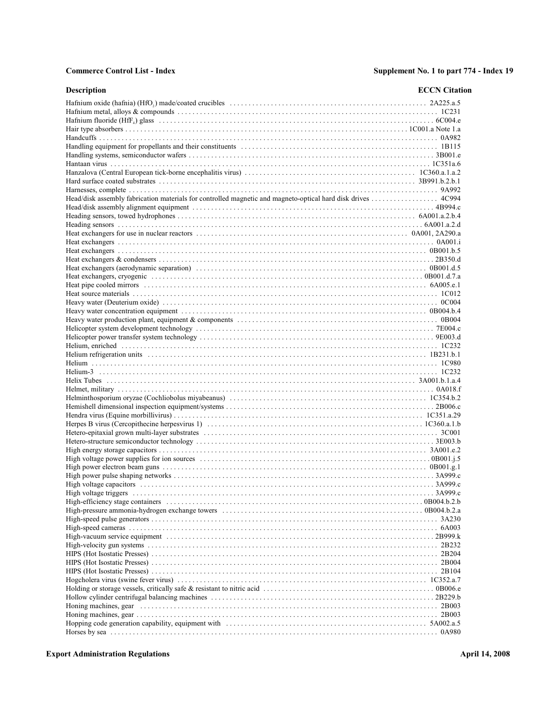| <b>Description</b>                                                                                                                                                                                                                                                                                                             | <b>ECCN</b> Citation |
|--------------------------------------------------------------------------------------------------------------------------------------------------------------------------------------------------------------------------------------------------------------------------------------------------------------------------------|----------------------|
|                                                                                                                                                                                                                                                                                                                                |                      |
|                                                                                                                                                                                                                                                                                                                                |                      |
|                                                                                                                                                                                                                                                                                                                                |                      |
|                                                                                                                                                                                                                                                                                                                                |                      |
|                                                                                                                                                                                                                                                                                                                                |                      |
|                                                                                                                                                                                                                                                                                                                                |                      |
|                                                                                                                                                                                                                                                                                                                                |                      |
|                                                                                                                                                                                                                                                                                                                                |                      |
|                                                                                                                                                                                                                                                                                                                                |                      |
|                                                                                                                                                                                                                                                                                                                                |                      |
|                                                                                                                                                                                                                                                                                                                                |                      |
| Head/disk assembly fabrication materials for controlled magnetic and magneto-optical hard disk drives  4C994                                                                                                                                                                                                                   |                      |
|                                                                                                                                                                                                                                                                                                                                |                      |
|                                                                                                                                                                                                                                                                                                                                |                      |
|                                                                                                                                                                                                                                                                                                                                |                      |
|                                                                                                                                                                                                                                                                                                                                |                      |
|                                                                                                                                                                                                                                                                                                                                |                      |
|                                                                                                                                                                                                                                                                                                                                |                      |
|                                                                                                                                                                                                                                                                                                                                |                      |
|                                                                                                                                                                                                                                                                                                                                |                      |
|                                                                                                                                                                                                                                                                                                                                |                      |
|                                                                                                                                                                                                                                                                                                                                |                      |
|                                                                                                                                                                                                                                                                                                                                |                      |
|                                                                                                                                                                                                                                                                                                                                |                      |
|                                                                                                                                                                                                                                                                                                                                |                      |
|                                                                                                                                                                                                                                                                                                                                |                      |
|                                                                                                                                                                                                                                                                                                                                |                      |
|                                                                                                                                                                                                                                                                                                                                |                      |
|                                                                                                                                                                                                                                                                                                                                |                      |
|                                                                                                                                                                                                                                                                                                                                |                      |
|                                                                                                                                                                                                                                                                                                                                |                      |
|                                                                                                                                                                                                                                                                                                                                |                      |
|                                                                                                                                                                                                                                                                                                                                |                      |
|                                                                                                                                                                                                                                                                                                                                |                      |
|                                                                                                                                                                                                                                                                                                                                |                      |
|                                                                                                                                                                                                                                                                                                                                |                      |
|                                                                                                                                                                                                                                                                                                                                |                      |
|                                                                                                                                                                                                                                                                                                                                |                      |
|                                                                                                                                                                                                                                                                                                                                |                      |
|                                                                                                                                                                                                                                                                                                                                |                      |
|                                                                                                                                                                                                                                                                                                                                |                      |
|                                                                                                                                                                                                                                                                                                                                |                      |
|                                                                                                                                                                                                                                                                                                                                |                      |
|                                                                                                                                                                                                                                                                                                                                |                      |
|                                                                                                                                                                                                                                                                                                                                |                      |
| High voltage triggers $\ldots$ $\ldots$ $\ldots$ $\ldots$ $\ldots$ $\ldots$ $\ldots$ $\ldots$ $\ldots$ $\ldots$ $\ldots$ $\ldots$ $\ldots$ $\ldots$ $\ldots$ $\ldots$ $\ldots$ $\ldots$ $\ldots$ $\ldots$ $\ldots$ $\ldots$ $\ldots$ $\ldots$ $\ldots$ $\ldots$ $\ldots$ $\ldots$ $\ldots$ $\ldots$ $\ldots$ $\ldots$ $\ldots$ |                      |
|                                                                                                                                                                                                                                                                                                                                |                      |
|                                                                                                                                                                                                                                                                                                                                |                      |
|                                                                                                                                                                                                                                                                                                                                |                      |
|                                                                                                                                                                                                                                                                                                                                |                      |
|                                                                                                                                                                                                                                                                                                                                |                      |
|                                                                                                                                                                                                                                                                                                                                |                      |
|                                                                                                                                                                                                                                                                                                                                |                      |
|                                                                                                                                                                                                                                                                                                                                |                      |
|                                                                                                                                                                                                                                                                                                                                |                      |
|                                                                                                                                                                                                                                                                                                                                |                      |
|                                                                                                                                                                                                                                                                                                                                |                      |
|                                                                                                                                                                                                                                                                                                                                |                      |
|                                                                                                                                                                                                                                                                                                                                |                      |
|                                                                                                                                                                                                                                                                                                                                |                      |
|                                                                                                                                                                                                                                                                                                                                |                      |
|                                                                                                                                                                                                                                                                                                                                |                      |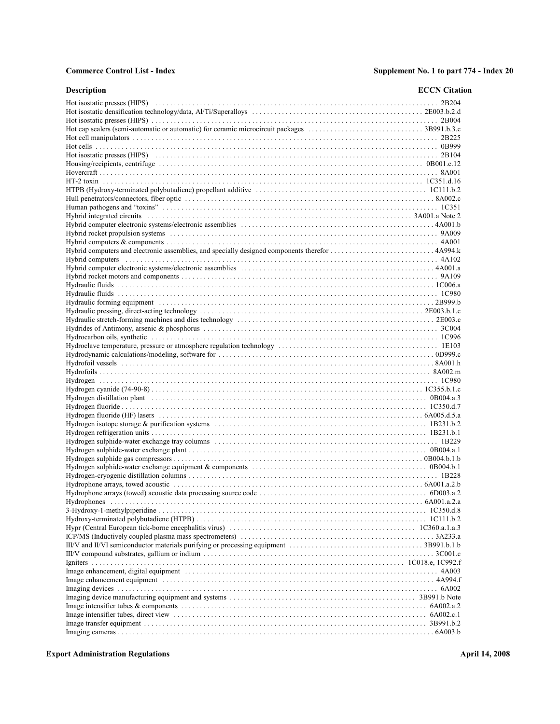| Description                                                                                                                                                                                                                    | <b>ECCN</b> Citation |
|--------------------------------------------------------------------------------------------------------------------------------------------------------------------------------------------------------------------------------|----------------------|
|                                                                                                                                                                                                                                |                      |
|                                                                                                                                                                                                                                |                      |
|                                                                                                                                                                                                                                |                      |
|                                                                                                                                                                                                                                |                      |
|                                                                                                                                                                                                                                |                      |
|                                                                                                                                                                                                                                |                      |
|                                                                                                                                                                                                                                |                      |
|                                                                                                                                                                                                                                |                      |
|                                                                                                                                                                                                                                |                      |
|                                                                                                                                                                                                                                |                      |
|                                                                                                                                                                                                                                |                      |
|                                                                                                                                                                                                                                |                      |
|                                                                                                                                                                                                                                |                      |
|                                                                                                                                                                                                                                |                      |
|                                                                                                                                                                                                                                |                      |
|                                                                                                                                                                                                                                |                      |
|                                                                                                                                                                                                                                |                      |
|                                                                                                                                                                                                                                |                      |
| Hybrid computers incontraction contact the control of the control of the control of the control of the control of the control of the control of the control of the control of the control of the control of the control of the |                      |
|                                                                                                                                                                                                                                |                      |
|                                                                                                                                                                                                                                |                      |
|                                                                                                                                                                                                                                |                      |
|                                                                                                                                                                                                                                |                      |
|                                                                                                                                                                                                                                |                      |
|                                                                                                                                                                                                                                |                      |
|                                                                                                                                                                                                                                |                      |
|                                                                                                                                                                                                                                |                      |
|                                                                                                                                                                                                                                |                      |
|                                                                                                                                                                                                                                |                      |
|                                                                                                                                                                                                                                |                      |
|                                                                                                                                                                                                                                |                      |
|                                                                                                                                                                                                                                |                      |
|                                                                                                                                                                                                                                |                      |
|                                                                                                                                                                                                                                |                      |
|                                                                                                                                                                                                                                |                      |
|                                                                                                                                                                                                                                |                      |
|                                                                                                                                                                                                                                |                      |
|                                                                                                                                                                                                                                |                      |
|                                                                                                                                                                                                                                |                      |
|                                                                                                                                                                                                                                |                      |
|                                                                                                                                                                                                                                |                      |
|                                                                                                                                                                                                                                |                      |
|                                                                                                                                                                                                                                |                      |
|                                                                                                                                                                                                                                |                      |
|                                                                                                                                                                                                                                |                      |
|                                                                                                                                                                                                                                |                      |
|                                                                                                                                                                                                                                |                      |
|                                                                                                                                                                                                                                |                      |
|                                                                                                                                                                                                                                |                      |
|                                                                                                                                                                                                                                |                      |
|                                                                                                                                                                                                                                |                      |
|                                                                                                                                                                                                                                |                      |
|                                                                                                                                                                                                                                |                      |
|                                                                                                                                                                                                                                |                      |
|                                                                                                                                                                                                                                |                      |
|                                                                                                                                                                                                                                |                      |
|                                                                                                                                                                                                                                |                      |
|                                                                                                                                                                                                                                |                      |
|                                                                                                                                                                                                                                |                      |
|                                                                                                                                                                                                                                |                      |
|                                                                                                                                                                                                                                |                      |
|                                                                                                                                                                                                                                |                      |
|                                                                                                                                                                                                                                |                      |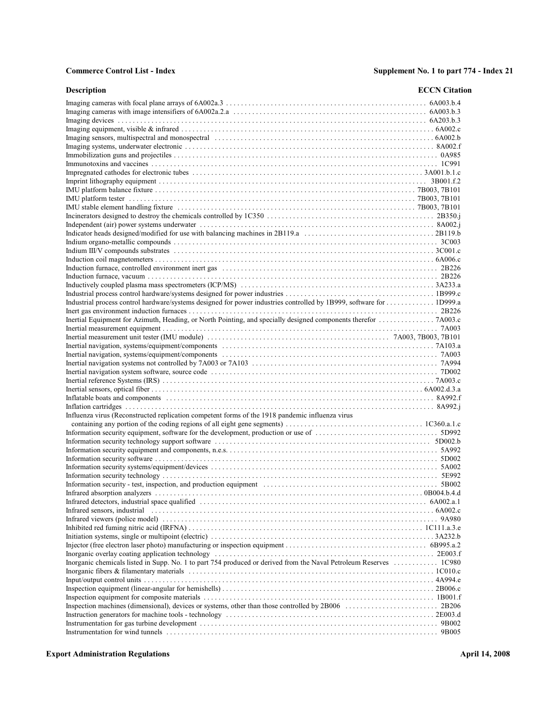| Description                                                                                                          | <b>ECCN</b> Citation |
|----------------------------------------------------------------------------------------------------------------------|----------------------|
|                                                                                                                      |                      |
|                                                                                                                      |                      |
|                                                                                                                      |                      |
|                                                                                                                      |                      |
|                                                                                                                      |                      |
|                                                                                                                      |                      |
|                                                                                                                      |                      |
|                                                                                                                      |                      |
|                                                                                                                      |                      |
|                                                                                                                      |                      |
|                                                                                                                      |                      |
|                                                                                                                      |                      |
|                                                                                                                      |                      |
|                                                                                                                      |                      |
|                                                                                                                      |                      |
|                                                                                                                      |                      |
|                                                                                                                      |                      |
|                                                                                                                      |                      |
|                                                                                                                      |                      |
|                                                                                                                      |                      |
|                                                                                                                      |                      |
|                                                                                                                      |                      |
| Industrial process control hardware/systems designed for power industries controlled by 1B999, software for  1D999.a |                      |
|                                                                                                                      |                      |
| Inertial Equipment for Azimuth, Heading, or North Pointing, and specially designed components therefor  7A003.c      |                      |
|                                                                                                                      |                      |
|                                                                                                                      |                      |
|                                                                                                                      |                      |
|                                                                                                                      |                      |
|                                                                                                                      |                      |
|                                                                                                                      |                      |
|                                                                                                                      |                      |
|                                                                                                                      |                      |
|                                                                                                                      |                      |
| Influenza virus (Reconstructed replication competent forms of the 1918 pandemic influenza virus                      |                      |
|                                                                                                                      |                      |
|                                                                                                                      |                      |
|                                                                                                                      |                      |
|                                                                                                                      |                      |
|                                                                                                                      |                      |
|                                                                                                                      |                      |
|                                                                                                                      |                      |
|                                                                                                                      |                      |
|                                                                                                                      |                      |
|                                                                                                                      |                      |
|                                                                                                                      |                      |
|                                                                                                                      |                      |
|                                                                                                                      |                      |
|                                                                                                                      |                      |
|                                                                                                                      |                      |
| Inorganic chemicals listed in Supp. No. 1 to part 754 produced or derived from the Naval Petroleum Reserves  1C980   |                      |
|                                                                                                                      |                      |
|                                                                                                                      |                      |
|                                                                                                                      |                      |
|                                                                                                                      |                      |
|                                                                                                                      |                      |
|                                                                                                                      |                      |
|                                                                                                                      |                      |
|                                                                                                                      |                      |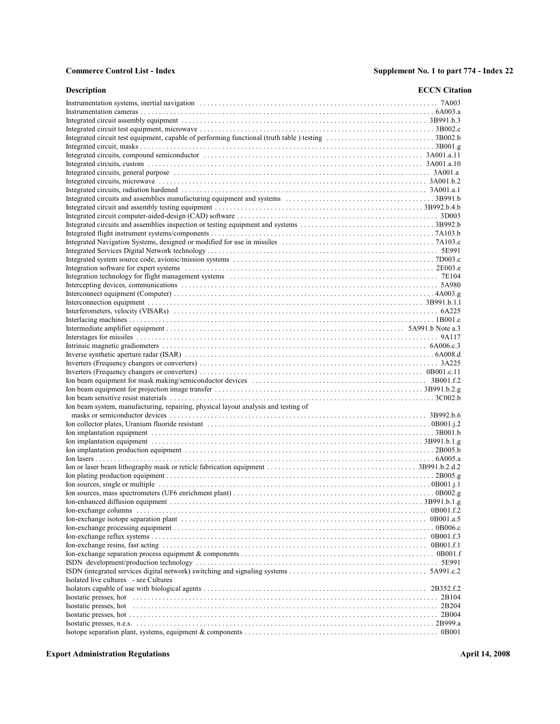| <b>Description</b>                                                                 | <b>ECCN</b> Citation |
|------------------------------------------------------------------------------------|----------------------|
|                                                                                    |                      |
|                                                                                    |                      |
|                                                                                    |                      |
|                                                                                    |                      |
|                                                                                    |                      |
|                                                                                    |                      |
|                                                                                    |                      |
|                                                                                    |                      |
|                                                                                    |                      |
|                                                                                    |                      |
|                                                                                    |                      |
|                                                                                    |                      |
|                                                                                    |                      |
|                                                                                    |                      |
|                                                                                    |                      |
|                                                                                    |                      |
|                                                                                    |                      |
|                                                                                    |                      |
|                                                                                    |                      |
|                                                                                    |                      |
|                                                                                    |                      |
|                                                                                    |                      |
|                                                                                    |                      |
|                                                                                    |                      |
|                                                                                    |                      |
|                                                                                    |                      |
|                                                                                    |                      |
|                                                                                    |                      |
|                                                                                    |                      |
|                                                                                    |                      |
|                                                                                    |                      |
|                                                                                    |                      |
|                                                                                    |                      |
|                                                                                    |                      |
| Ion beam system, manufacturing, repairing, physical layout analysis and testing of |                      |
|                                                                                    |                      |
|                                                                                    |                      |
|                                                                                    |                      |
|                                                                                    |                      |
|                                                                                    |                      |
|                                                                                    |                      |
|                                                                                    |                      |
|                                                                                    |                      |
|                                                                                    |                      |
|                                                                                    |                      |
|                                                                                    |                      |
|                                                                                    |                      |
|                                                                                    |                      |
|                                                                                    |                      |
|                                                                                    |                      |
|                                                                                    |                      |
|                                                                                    |                      |
|                                                                                    |                      |
|                                                                                    |                      |
| Isolated live cultures - see Cultures                                              |                      |
|                                                                                    |                      |
|                                                                                    |                      |
|                                                                                    |                      |
|                                                                                    |                      |
|                                                                                    |                      |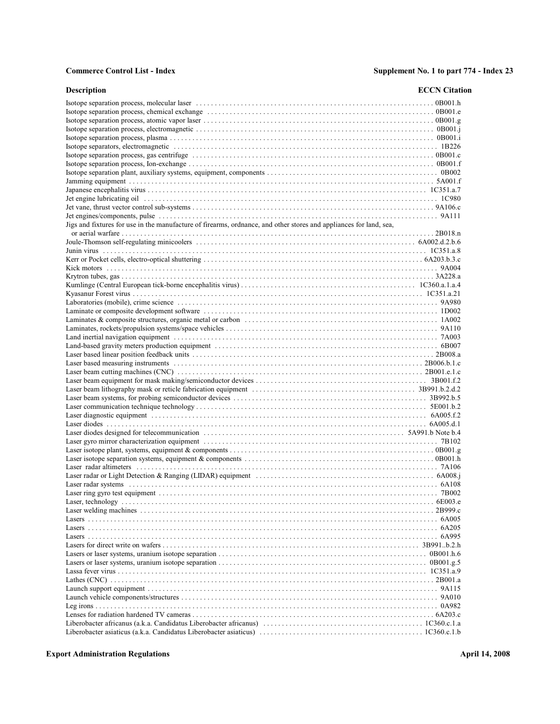| <b>Description</b>                                                                                                 | <b>ECCN</b> Citation |
|--------------------------------------------------------------------------------------------------------------------|----------------------|
|                                                                                                                    |                      |
|                                                                                                                    |                      |
|                                                                                                                    |                      |
|                                                                                                                    |                      |
|                                                                                                                    |                      |
|                                                                                                                    |                      |
|                                                                                                                    |                      |
|                                                                                                                    |                      |
|                                                                                                                    |                      |
|                                                                                                                    |                      |
|                                                                                                                    |                      |
|                                                                                                                    |                      |
|                                                                                                                    |                      |
|                                                                                                                    |                      |
| Jigs and fixtures for use in the manufacture of firearms, ordnance, and other stores and appliances for land, sea, |                      |
|                                                                                                                    |                      |
|                                                                                                                    |                      |
|                                                                                                                    |                      |
|                                                                                                                    |                      |
|                                                                                                                    |                      |
|                                                                                                                    |                      |
|                                                                                                                    |                      |
|                                                                                                                    |                      |
|                                                                                                                    |                      |
|                                                                                                                    |                      |
|                                                                                                                    |                      |
|                                                                                                                    |                      |
|                                                                                                                    |                      |
|                                                                                                                    |                      |
|                                                                                                                    |                      |
|                                                                                                                    |                      |
|                                                                                                                    |                      |
|                                                                                                                    |                      |
|                                                                                                                    |                      |
|                                                                                                                    |                      |
|                                                                                                                    |                      |
|                                                                                                                    |                      |
|                                                                                                                    |                      |
|                                                                                                                    |                      |
|                                                                                                                    |                      |
|                                                                                                                    |                      |
|                                                                                                                    |                      |
|                                                                                                                    |                      |
|                                                                                                                    |                      |
|                                                                                                                    |                      |
|                                                                                                                    |                      |
|                                                                                                                    |                      |
|                                                                                                                    |                      |
|                                                                                                                    |                      |
|                                                                                                                    |                      |
|                                                                                                                    |                      |
|                                                                                                                    |                      |
|                                                                                                                    |                      |
|                                                                                                                    |                      |
|                                                                                                                    |                      |
|                                                                                                                    |                      |
|                                                                                                                    |                      |
|                                                                                                                    |                      |
|                                                                                                                    |                      |
|                                                                                                                    |                      |
|                                                                                                                    |                      |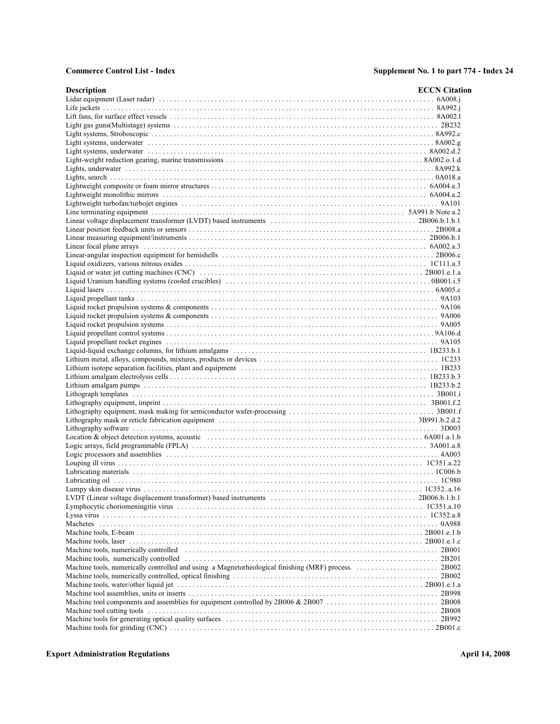| <b>Description</b>                                                                                                                                                                                                             | <b>ECCN</b> Citation |
|--------------------------------------------------------------------------------------------------------------------------------------------------------------------------------------------------------------------------------|----------------------|
|                                                                                                                                                                                                                                |                      |
|                                                                                                                                                                                                                                |                      |
|                                                                                                                                                                                                                                |                      |
|                                                                                                                                                                                                                                |                      |
|                                                                                                                                                                                                                                |                      |
|                                                                                                                                                                                                                                |                      |
|                                                                                                                                                                                                                                |                      |
|                                                                                                                                                                                                                                |                      |
|                                                                                                                                                                                                                                |                      |
|                                                                                                                                                                                                                                |                      |
|                                                                                                                                                                                                                                |                      |
|                                                                                                                                                                                                                                |                      |
|                                                                                                                                                                                                                                |                      |
|                                                                                                                                                                                                                                |                      |
|                                                                                                                                                                                                                                |                      |
|                                                                                                                                                                                                                                |                      |
|                                                                                                                                                                                                                                |                      |
|                                                                                                                                                                                                                                |                      |
|                                                                                                                                                                                                                                |                      |
|                                                                                                                                                                                                                                |                      |
|                                                                                                                                                                                                                                |                      |
|                                                                                                                                                                                                                                |                      |
|                                                                                                                                                                                                                                |                      |
|                                                                                                                                                                                                                                |                      |
|                                                                                                                                                                                                                                |                      |
|                                                                                                                                                                                                                                |                      |
|                                                                                                                                                                                                                                |                      |
|                                                                                                                                                                                                                                |                      |
|                                                                                                                                                                                                                                |                      |
|                                                                                                                                                                                                                                |                      |
|                                                                                                                                                                                                                                |                      |
|                                                                                                                                                                                                                                |                      |
|                                                                                                                                                                                                                                |                      |
|                                                                                                                                                                                                                                |                      |
|                                                                                                                                                                                                                                |                      |
|                                                                                                                                                                                                                                |                      |
|                                                                                                                                                                                                                                |                      |
|                                                                                                                                                                                                                                |                      |
|                                                                                                                                                                                                                                |                      |
|                                                                                                                                                                                                                                |                      |
|                                                                                                                                                                                                                                |                      |
|                                                                                                                                                                                                                                |                      |
|                                                                                                                                                                                                                                |                      |
|                                                                                                                                                                                                                                |                      |
|                                                                                                                                                                                                                                |                      |
|                                                                                                                                                                                                                                |                      |
|                                                                                                                                                                                                                                |                      |
|                                                                                                                                                                                                                                |                      |
|                                                                                                                                                                                                                                |                      |
|                                                                                                                                                                                                                                |                      |
|                                                                                                                                                                                                                                |                      |
|                                                                                                                                                                                                                                |                      |
|                                                                                                                                                                                                                                |                      |
| Machine tools, numerically controlled (excludional controller controller controller controller controller controller controller controller controller controller controller controller controller controller controller contro |                      |
|                                                                                                                                                                                                                                |                      |
|                                                                                                                                                                                                                                |                      |
|                                                                                                                                                                                                                                |                      |
|                                                                                                                                                                                                                                |                      |
|                                                                                                                                                                                                                                |                      |
|                                                                                                                                                                                                                                |                      |
|                                                                                                                                                                                                                                |                      |
|                                                                                                                                                                                                                                |                      |
|                                                                                                                                                                                                                                |                      |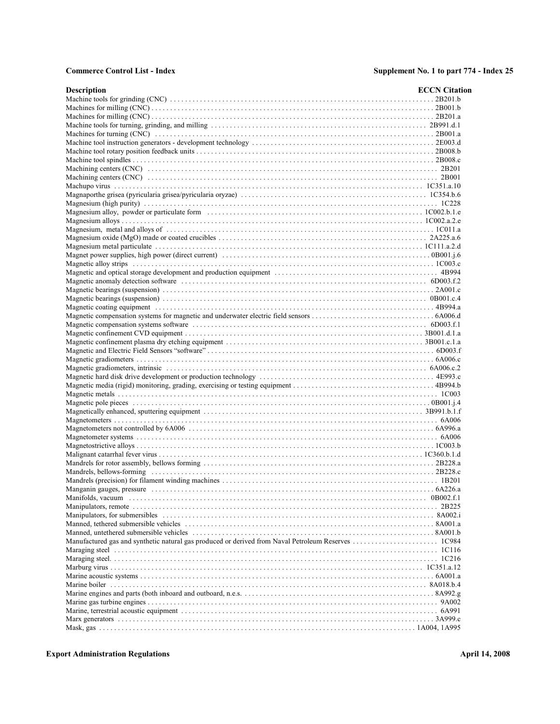| <b>Description</b>                                                                                                                                                                                                             | <b>ECCN</b> Citation |
|--------------------------------------------------------------------------------------------------------------------------------------------------------------------------------------------------------------------------------|----------------------|
|                                                                                                                                                                                                                                |                      |
|                                                                                                                                                                                                                                |                      |
|                                                                                                                                                                                                                                |                      |
|                                                                                                                                                                                                                                |                      |
|                                                                                                                                                                                                                                |                      |
|                                                                                                                                                                                                                                |                      |
|                                                                                                                                                                                                                                |                      |
|                                                                                                                                                                                                                                |                      |
|                                                                                                                                                                                                                                |                      |
|                                                                                                                                                                                                                                |                      |
|                                                                                                                                                                                                                                |                      |
|                                                                                                                                                                                                                                |                      |
|                                                                                                                                                                                                                                |                      |
|                                                                                                                                                                                                                                |                      |
|                                                                                                                                                                                                                                |                      |
|                                                                                                                                                                                                                                |                      |
|                                                                                                                                                                                                                                |                      |
|                                                                                                                                                                                                                                |                      |
|                                                                                                                                                                                                                                |                      |
|                                                                                                                                                                                                                                |                      |
|                                                                                                                                                                                                                                |                      |
|                                                                                                                                                                                                                                |                      |
| Magnetic anomaly detection software contact the contact of the set of the set of the soft of the soft of the soft of the set of the set of the set of the set of the set of the set of the set of the set of the set of the se |                      |
|                                                                                                                                                                                                                                |                      |
|                                                                                                                                                                                                                                |                      |
|                                                                                                                                                                                                                                |                      |
|                                                                                                                                                                                                                                |                      |
|                                                                                                                                                                                                                                |                      |
|                                                                                                                                                                                                                                |                      |
|                                                                                                                                                                                                                                |                      |
|                                                                                                                                                                                                                                |                      |
|                                                                                                                                                                                                                                |                      |
|                                                                                                                                                                                                                                |                      |
|                                                                                                                                                                                                                                |                      |
|                                                                                                                                                                                                                                |                      |
|                                                                                                                                                                                                                                |                      |
|                                                                                                                                                                                                                                |                      |
|                                                                                                                                                                                                                                |                      |
|                                                                                                                                                                                                                                |                      |
|                                                                                                                                                                                                                                |                      |
|                                                                                                                                                                                                                                |                      |
|                                                                                                                                                                                                                                |                      |
|                                                                                                                                                                                                                                |                      |
|                                                                                                                                                                                                                                |                      |
|                                                                                                                                                                                                                                |                      |
|                                                                                                                                                                                                                                |                      |
|                                                                                                                                                                                                                                |                      |
|                                                                                                                                                                                                                                |                      |
|                                                                                                                                                                                                                                |                      |
| Manipulators, for submersibles expansional example and subsequent container and the set of the set of the set of $8.4002$ .i                                                                                                   |                      |
|                                                                                                                                                                                                                                |                      |
|                                                                                                                                                                                                                                |                      |
|                                                                                                                                                                                                                                |                      |
|                                                                                                                                                                                                                                |                      |
|                                                                                                                                                                                                                                |                      |
|                                                                                                                                                                                                                                |                      |
|                                                                                                                                                                                                                                |                      |
|                                                                                                                                                                                                                                |                      |
|                                                                                                                                                                                                                                |                      |
|                                                                                                                                                                                                                                |                      |
|                                                                                                                                                                                                                                |                      |
|                                                                                                                                                                                                                                |                      |
|                                                                                                                                                                                                                                |                      |
|                                                                                                                                                                                                                                |                      |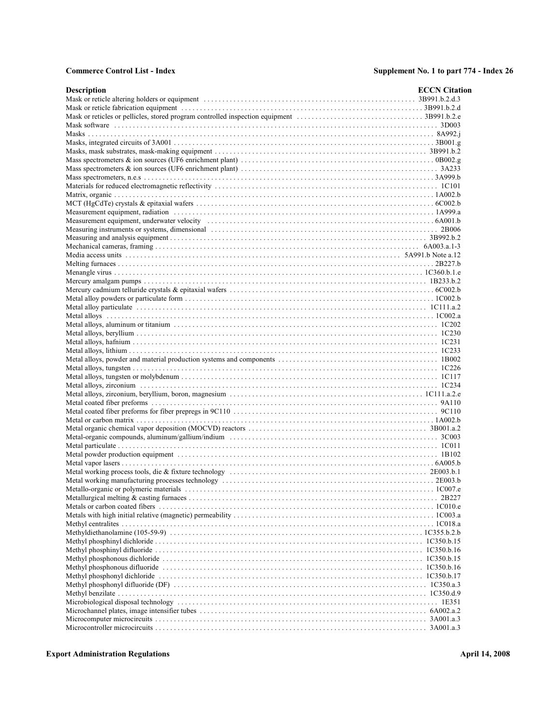| <b>Description</b>                                                                                                                                                                                                             | <b>ECCN</b> Citation |
|--------------------------------------------------------------------------------------------------------------------------------------------------------------------------------------------------------------------------------|----------------------|
|                                                                                                                                                                                                                                |                      |
|                                                                                                                                                                                                                                |                      |
|                                                                                                                                                                                                                                |                      |
|                                                                                                                                                                                                                                |                      |
|                                                                                                                                                                                                                                |                      |
|                                                                                                                                                                                                                                |                      |
|                                                                                                                                                                                                                                |                      |
|                                                                                                                                                                                                                                |                      |
|                                                                                                                                                                                                                                |                      |
|                                                                                                                                                                                                                                |                      |
|                                                                                                                                                                                                                                |                      |
|                                                                                                                                                                                                                                |                      |
|                                                                                                                                                                                                                                |                      |
|                                                                                                                                                                                                                                |                      |
| Measurement equipment, radiation contact and the contact of the contact and the contact and the contact of the contact and the contact and the contact and the contact and the contact and the contact and the contact and the |                      |
|                                                                                                                                                                                                                                |                      |
| Measuring instruments or systems, dimensional contact the contact contact the contact of the contact of the contact and the contact of BD006 of the contact of the contact of BD006 of the contact of the contact of the conta |                      |
|                                                                                                                                                                                                                                |                      |
|                                                                                                                                                                                                                                |                      |
|                                                                                                                                                                                                                                |                      |
|                                                                                                                                                                                                                                |                      |
|                                                                                                                                                                                                                                |                      |
|                                                                                                                                                                                                                                |                      |
|                                                                                                                                                                                                                                |                      |
|                                                                                                                                                                                                                                |                      |
|                                                                                                                                                                                                                                |                      |
|                                                                                                                                                                                                                                |                      |
|                                                                                                                                                                                                                                |                      |
|                                                                                                                                                                                                                                |                      |
|                                                                                                                                                                                                                                |                      |
|                                                                                                                                                                                                                                |                      |
|                                                                                                                                                                                                                                |                      |
|                                                                                                                                                                                                                                |                      |
|                                                                                                                                                                                                                                |                      |
|                                                                                                                                                                                                                                |                      |
|                                                                                                                                                                                                                                |                      |
|                                                                                                                                                                                                                                |                      |
|                                                                                                                                                                                                                                |                      |
|                                                                                                                                                                                                                                |                      |
|                                                                                                                                                                                                                                |                      |
|                                                                                                                                                                                                                                |                      |
|                                                                                                                                                                                                                                |                      |
|                                                                                                                                                                                                                                |                      |
|                                                                                                                                                                                                                                |                      |
|                                                                                                                                                                                                                                |                      |
|                                                                                                                                                                                                                                |                      |
|                                                                                                                                                                                                                                |                      |
|                                                                                                                                                                                                                                |                      |
|                                                                                                                                                                                                                                |                      |
|                                                                                                                                                                                                                                |                      |
|                                                                                                                                                                                                                                |                      |
|                                                                                                                                                                                                                                |                      |
|                                                                                                                                                                                                                                |                      |
|                                                                                                                                                                                                                                |                      |
|                                                                                                                                                                                                                                |                      |
|                                                                                                                                                                                                                                |                      |
|                                                                                                                                                                                                                                |                      |
|                                                                                                                                                                                                                                |                      |
|                                                                                                                                                                                                                                |                      |
|                                                                                                                                                                                                                                |                      |
|                                                                                                                                                                                                                                |                      |
|                                                                                                                                                                                                                                |                      |
|                                                                                                                                                                                                                                |                      |
|                                                                                                                                                                                                                                |                      |
|                                                                                                                                                                                                                                |                      |
|                                                                                                                                                                                                                                |                      |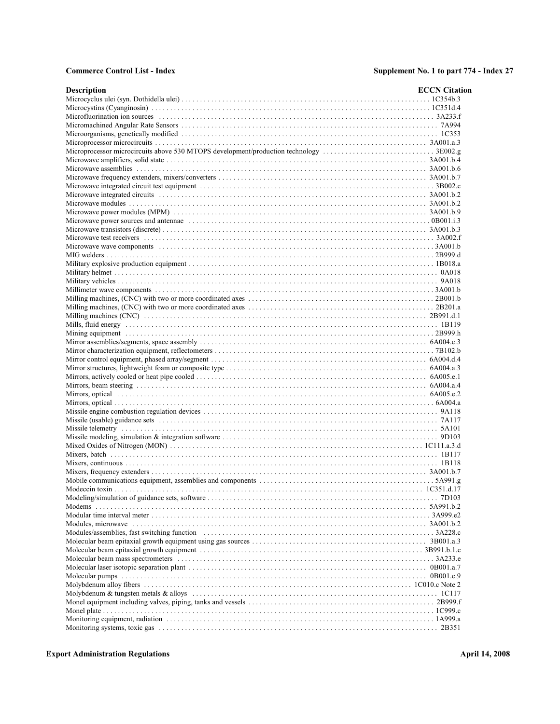| <b>Description</b> | <b>ECCN</b> Citation |
|--------------------|----------------------|
|                    |                      |
|                    |                      |
|                    |                      |
|                    |                      |
|                    |                      |
|                    |                      |
|                    |                      |
|                    |                      |
|                    |                      |
|                    |                      |
|                    |                      |
|                    |                      |
|                    |                      |
|                    |                      |
|                    |                      |
|                    |                      |
|                    |                      |
|                    |                      |
|                    |                      |
|                    |                      |
|                    |                      |
|                    |                      |
|                    |                      |
|                    |                      |
|                    |                      |
|                    |                      |
|                    |                      |
|                    |                      |
|                    |                      |
|                    |                      |
|                    |                      |
|                    |                      |
|                    |                      |
|                    |                      |
|                    |                      |
|                    |                      |
|                    |                      |
|                    |                      |
|                    |                      |
|                    |                      |
|                    |                      |
|                    |                      |
|                    |                      |
|                    |                      |
|                    |                      |
|                    |                      |
|                    |                      |
|                    |                      |
|                    |                      |
|                    |                      |
|                    |                      |
|                    |                      |
|                    |                      |
|                    |                      |
|                    |                      |
|                    |                      |
|                    |                      |
|                    |                      |
|                    |                      |
|                    |                      |
|                    |                      |
|                    |                      |
|                    |                      |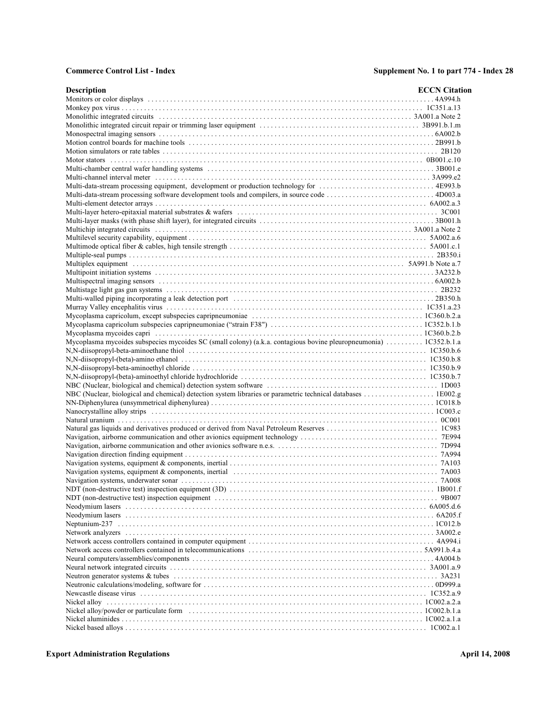| <b>Description</b>                                                                                                | <b>ECCN</b> Citation |
|-------------------------------------------------------------------------------------------------------------------|----------------------|
|                                                                                                                   |                      |
|                                                                                                                   |                      |
|                                                                                                                   |                      |
|                                                                                                                   |                      |
|                                                                                                                   |                      |
|                                                                                                                   |                      |
|                                                                                                                   |                      |
|                                                                                                                   |                      |
|                                                                                                                   |                      |
|                                                                                                                   |                      |
|                                                                                                                   |                      |
|                                                                                                                   |                      |
|                                                                                                                   |                      |
|                                                                                                                   |                      |
|                                                                                                                   |                      |
|                                                                                                                   |                      |
|                                                                                                                   |                      |
|                                                                                                                   |                      |
|                                                                                                                   |                      |
|                                                                                                                   |                      |
|                                                                                                                   |                      |
|                                                                                                                   |                      |
|                                                                                                                   |                      |
|                                                                                                                   |                      |
|                                                                                                                   |                      |
|                                                                                                                   |                      |
|                                                                                                                   |                      |
| Mycoplasma mycoides subspecies mycoides SC (small colony) (a.k.a. contagious bovine pleuropneumonia)  1C352.b.1.a |                      |
|                                                                                                                   |                      |
|                                                                                                                   |                      |
|                                                                                                                   |                      |
|                                                                                                                   |                      |
|                                                                                                                   |                      |
|                                                                                                                   |                      |
|                                                                                                                   |                      |
|                                                                                                                   |                      |
|                                                                                                                   |                      |
|                                                                                                                   |                      |
|                                                                                                                   |                      |
|                                                                                                                   |                      |
|                                                                                                                   |                      |
|                                                                                                                   |                      |
|                                                                                                                   |                      |
|                                                                                                                   |                      |
|                                                                                                                   |                      |
|                                                                                                                   |                      |
|                                                                                                                   |                      |
|                                                                                                                   |                      |
|                                                                                                                   |                      |
|                                                                                                                   |                      |
|                                                                                                                   |                      |
|                                                                                                                   |                      |
|                                                                                                                   |                      |
|                                                                                                                   |                      |
|                                                                                                                   |                      |
|                                                                                                                   |                      |
|                                                                                                                   |                      |
|                                                                                                                   |                      |
|                                                                                                                   |                      |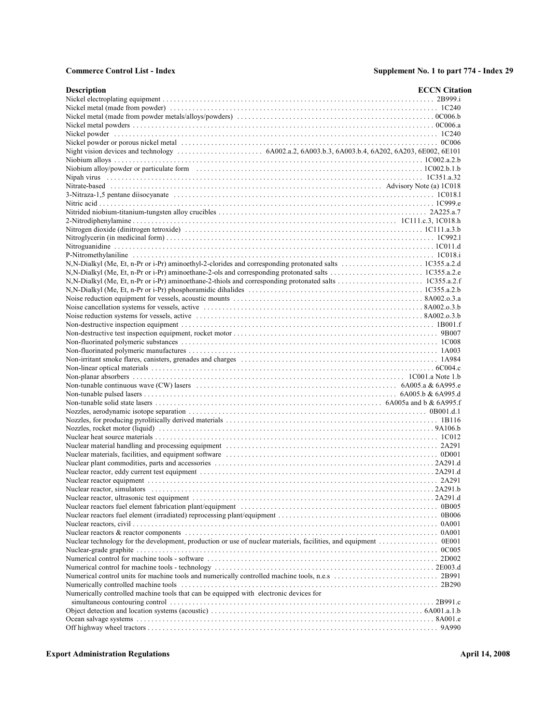| <b>Description</b>                                                                                              | <b>ECCN</b> Citation |
|-----------------------------------------------------------------------------------------------------------------|----------------------|
|                                                                                                                 |                      |
|                                                                                                                 |                      |
|                                                                                                                 |                      |
|                                                                                                                 |                      |
|                                                                                                                 |                      |
|                                                                                                                 |                      |
|                                                                                                                 |                      |
|                                                                                                                 |                      |
|                                                                                                                 |                      |
|                                                                                                                 |                      |
|                                                                                                                 |                      |
|                                                                                                                 |                      |
|                                                                                                                 |                      |
|                                                                                                                 |                      |
|                                                                                                                 |                      |
|                                                                                                                 |                      |
|                                                                                                                 |                      |
|                                                                                                                 |                      |
|                                                                                                                 |                      |
|                                                                                                                 |                      |
|                                                                                                                 |                      |
|                                                                                                                 |                      |
|                                                                                                                 |                      |
|                                                                                                                 |                      |
|                                                                                                                 |                      |
|                                                                                                                 |                      |
|                                                                                                                 |                      |
|                                                                                                                 |                      |
|                                                                                                                 |                      |
|                                                                                                                 |                      |
|                                                                                                                 |                      |
|                                                                                                                 |                      |
|                                                                                                                 |                      |
|                                                                                                                 |                      |
|                                                                                                                 |                      |
|                                                                                                                 |                      |
|                                                                                                                 |                      |
|                                                                                                                 |                      |
|                                                                                                                 |                      |
|                                                                                                                 |                      |
|                                                                                                                 |                      |
|                                                                                                                 |                      |
|                                                                                                                 |                      |
|                                                                                                                 |                      |
|                                                                                                                 |                      |
|                                                                                                                 |                      |
|                                                                                                                 |                      |
|                                                                                                                 |                      |
| Nuclear technology for the development, production or use of nuclear materials, facilities, and equipment 0E001 |                      |
|                                                                                                                 |                      |
|                                                                                                                 |                      |
|                                                                                                                 |                      |
|                                                                                                                 |                      |
|                                                                                                                 |                      |
| Numerically controlled machine tools that can be equipped with electronic devices for                           |                      |
|                                                                                                                 |                      |
|                                                                                                                 |                      |
|                                                                                                                 |                      |
|                                                                                                                 |                      |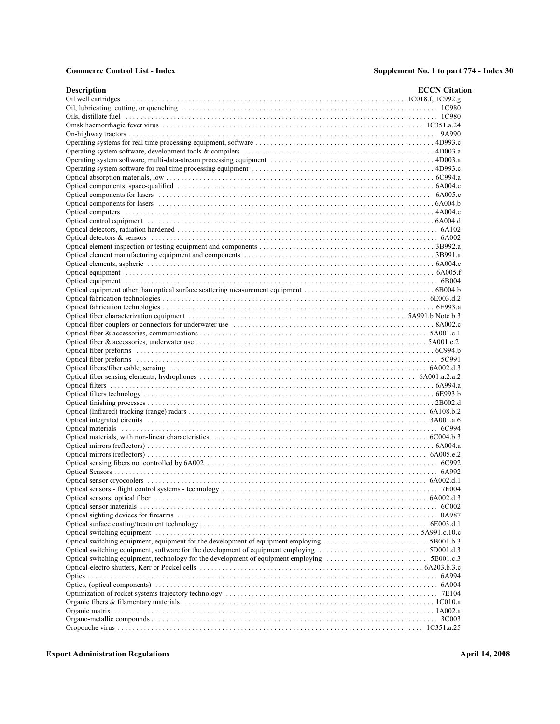| <b>Description</b>                                                                                                                                                                                                            | <b>ECCN</b> Citation |
|-------------------------------------------------------------------------------------------------------------------------------------------------------------------------------------------------------------------------------|----------------------|
|                                                                                                                                                                                                                               |                      |
|                                                                                                                                                                                                                               |                      |
|                                                                                                                                                                                                                               |                      |
|                                                                                                                                                                                                                               |                      |
|                                                                                                                                                                                                                               |                      |
|                                                                                                                                                                                                                               |                      |
|                                                                                                                                                                                                                               |                      |
|                                                                                                                                                                                                                               |                      |
|                                                                                                                                                                                                                               |                      |
|                                                                                                                                                                                                                               |                      |
|                                                                                                                                                                                                                               |                      |
|                                                                                                                                                                                                                               |                      |
|                                                                                                                                                                                                                               |                      |
|                                                                                                                                                                                                                               |                      |
|                                                                                                                                                                                                                               |                      |
|                                                                                                                                                                                                                               |                      |
|                                                                                                                                                                                                                               |                      |
|                                                                                                                                                                                                                               |                      |
|                                                                                                                                                                                                                               |                      |
|                                                                                                                                                                                                                               |                      |
|                                                                                                                                                                                                                               |                      |
|                                                                                                                                                                                                                               |                      |
|                                                                                                                                                                                                                               |                      |
|                                                                                                                                                                                                                               |                      |
|                                                                                                                                                                                                                               |                      |
| Optical fiber couplers or connectors for underwater use contact the contact of the state of the state of the state of the state of the state of the state of the state of the state of the state of the state of the state of |                      |
|                                                                                                                                                                                                                               |                      |
|                                                                                                                                                                                                                               |                      |
|                                                                                                                                                                                                                               |                      |
|                                                                                                                                                                                                                               |                      |
|                                                                                                                                                                                                                               |                      |
|                                                                                                                                                                                                                               |                      |
|                                                                                                                                                                                                                               |                      |
|                                                                                                                                                                                                                               |                      |
|                                                                                                                                                                                                                               |                      |
|                                                                                                                                                                                                                               |                      |
|                                                                                                                                                                                                                               |                      |
|                                                                                                                                                                                                                               |                      |
|                                                                                                                                                                                                                               |                      |
|                                                                                                                                                                                                                               |                      |
|                                                                                                                                                                                                                               |                      |
|                                                                                                                                                                                                                               |                      |
|                                                                                                                                                                                                                               |                      |
|                                                                                                                                                                                                                               |                      |
|                                                                                                                                                                                                                               |                      |
| Optical sensors, optical fiber (all and sensors) 6A002.d.3                                                                                                                                                                    |                      |
|                                                                                                                                                                                                                               |                      |
|                                                                                                                                                                                                                               |                      |
|                                                                                                                                                                                                                               |                      |
|                                                                                                                                                                                                                               |                      |
|                                                                                                                                                                                                                               |                      |
|                                                                                                                                                                                                                               |                      |
|                                                                                                                                                                                                                               |                      |
|                                                                                                                                                                                                                               |                      |
|                                                                                                                                                                                                                               |                      |
|                                                                                                                                                                                                                               |                      |
|                                                                                                                                                                                                                               |                      |
|                                                                                                                                                                                                                               |                      |
|                                                                                                                                                                                                                               |                      |
|                                                                                                                                                                                                                               |                      |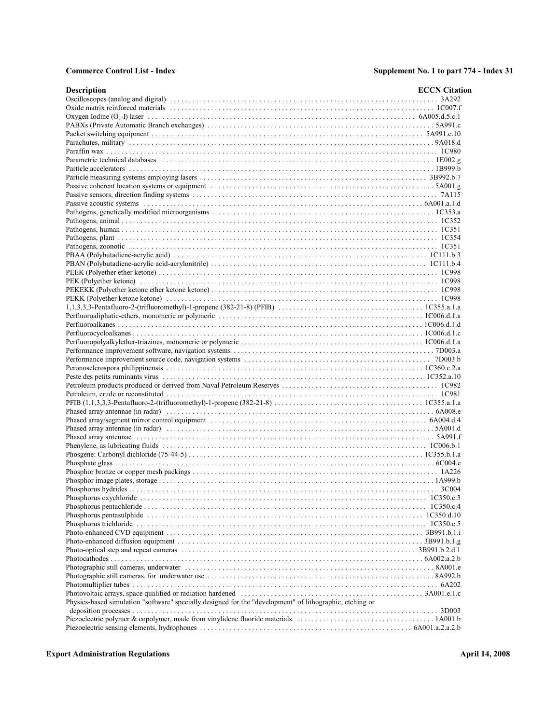| <b>Description</b>                                                                                                                                        | <b>ECCN</b> Citation |
|-----------------------------------------------------------------------------------------------------------------------------------------------------------|----------------------|
|                                                                                                                                                           |                      |
|                                                                                                                                                           |                      |
| Oxygen Iodine $(0, -1)$ laser $\dots \dots \dots \dots \dots \dots \dots \dots \dots \dots \dots \dots \dots \dots \dots \dots \dots \dots$ 6A005.d.5.c.1 |                      |
|                                                                                                                                                           |                      |
|                                                                                                                                                           |                      |
|                                                                                                                                                           |                      |
|                                                                                                                                                           |                      |
|                                                                                                                                                           |                      |
|                                                                                                                                                           |                      |
|                                                                                                                                                           |                      |
|                                                                                                                                                           |                      |
|                                                                                                                                                           |                      |
|                                                                                                                                                           |                      |
|                                                                                                                                                           |                      |
|                                                                                                                                                           |                      |
|                                                                                                                                                           |                      |
|                                                                                                                                                           |                      |
|                                                                                                                                                           |                      |
|                                                                                                                                                           |                      |
|                                                                                                                                                           |                      |
|                                                                                                                                                           |                      |
|                                                                                                                                                           |                      |
|                                                                                                                                                           |                      |
|                                                                                                                                                           |                      |
|                                                                                                                                                           |                      |
|                                                                                                                                                           |                      |
|                                                                                                                                                           |                      |
|                                                                                                                                                           |                      |
|                                                                                                                                                           |                      |
|                                                                                                                                                           |                      |
|                                                                                                                                                           |                      |
|                                                                                                                                                           |                      |
|                                                                                                                                                           |                      |
|                                                                                                                                                           |                      |
|                                                                                                                                                           |                      |
|                                                                                                                                                           |                      |
|                                                                                                                                                           |                      |
|                                                                                                                                                           |                      |
|                                                                                                                                                           |                      |
|                                                                                                                                                           |                      |
|                                                                                                                                                           |                      |
|                                                                                                                                                           |                      |
|                                                                                                                                                           |                      |
|                                                                                                                                                           |                      |
|                                                                                                                                                           |                      |
|                                                                                                                                                           |                      |
|                                                                                                                                                           |                      |
|                                                                                                                                                           |                      |
|                                                                                                                                                           |                      |
|                                                                                                                                                           |                      |
|                                                                                                                                                           |                      |
|                                                                                                                                                           |                      |
|                                                                                                                                                           |                      |
|                                                                                                                                                           |                      |
|                                                                                                                                                           |                      |
|                                                                                                                                                           |                      |
|                                                                                                                                                           |                      |
|                                                                                                                                                           |                      |
|                                                                                                                                                           |                      |
|                                                                                                                                                           |                      |
|                                                                                                                                                           |                      |
| Physics-based simulation "software" specially designed for the "development" of lithographic, etching or                                                  |                      |
|                                                                                                                                                           |                      |
|                                                                                                                                                           |                      |
|                                                                                                                                                           |                      |
|                                                                                                                                                           |                      |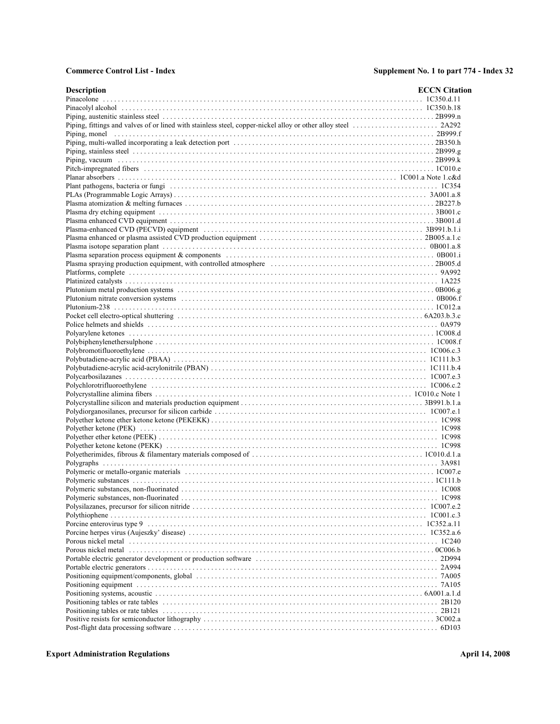| <b>Description</b> | <b>ECCN</b> Citation |
|--------------------|----------------------|
|                    |                      |
|                    |                      |
|                    |                      |
|                    |                      |
|                    |                      |
|                    |                      |
|                    |                      |
|                    |                      |
|                    |                      |
|                    |                      |
|                    |                      |
|                    |                      |
|                    |                      |
|                    |                      |
|                    |                      |
|                    |                      |
|                    |                      |
|                    |                      |
|                    |                      |
|                    |                      |
|                    |                      |
|                    |                      |
|                    |                      |
|                    |                      |
|                    |                      |
|                    |                      |
|                    |                      |
|                    |                      |
|                    |                      |
|                    |                      |
|                    |                      |
|                    |                      |
|                    |                      |
|                    |                      |
|                    |                      |
|                    |                      |
|                    |                      |
|                    |                      |
|                    |                      |
|                    |                      |
|                    |                      |
|                    |                      |
|                    |                      |
|                    |                      |
|                    |                      |
|                    |                      |
|                    |                      |
|                    |                      |
|                    |                      |
|                    |                      |
|                    |                      |
|                    |                      |
|                    |                      |
|                    |                      |
|                    |                      |
|                    |                      |
|                    |                      |
|                    |                      |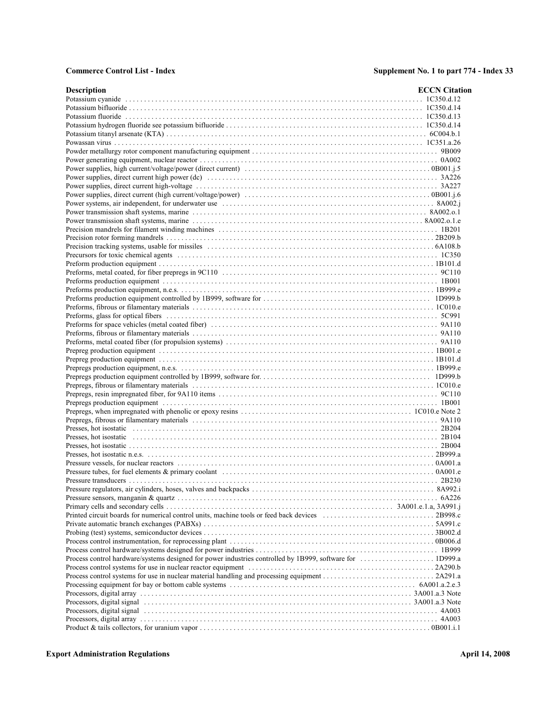| <b>Description</b>                                                                                        | <b>ECCN</b> Citation |
|-----------------------------------------------------------------------------------------------------------|----------------------|
|                                                                                                           |                      |
|                                                                                                           |                      |
|                                                                                                           |                      |
|                                                                                                           |                      |
|                                                                                                           |                      |
|                                                                                                           |                      |
|                                                                                                           |                      |
|                                                                                                           |                      |
|                                                                                                           |                      |
|                                                                                                           |                      |
|                                                                                                           |                      |
|                                                                                                           |                      |
|                                                                                                           |                      |
|                                                                                                           |                      |
|                                                                                                           |                      |
|                                                                                                           |                      |
|                                                                                                           |                      |
|                                                                                                           |                      |
|                                                                                                           |                      |
|                                                                                                           |                      |
|                                                                                                           |                      |
|                                                                                                           |                      |
|                                                                                                           |                      |
|                                                                                                           |                      |
|                                                                                                           |                      |
|                                                                                                           |                      |
|                                                                                                           |                      |
|                                                                                                           |                      |
|                                                                                                           |                      |
|                                                                                                           |                      |
|                                                                                                           |                      |
|                                                                                                           |                      |
|                                                                                                           |                      |
|                                                                                                           |                      |
|                                                                                                           |                      |
|                                                                                                           |                      |
|                                                                                                           |                      |
|                                                                                                           |                      |
|                                                                                                           |                      |
|                                                                                                           |                      |
|                                                                                                           |                      |
|                                                                                                           |                      |
|                                                                                                           |                      |
|                                                                                                           |                      |
|                                                                                                           |                      |
|                                                                                                           |                      |
|                                                                                                           |                      |
|                                                                                                           |                      |
|                                                                                                           |                      |
|                                                                                                           |                      |
|                                                                                                           |                      |
| Process control hardware/systems designed for power industries controlled by 1B999, software for  1D999.a |                      |
|                                                                                                           |                      |
|                                                                                                           |                      |
|                                                                                                           |                      |
|                                                                                                           |                      |
|                                                                                                           |                      |
|                                                                                                           |                      |
|                                                                                                           |                      |
|                                                                                                           |                      |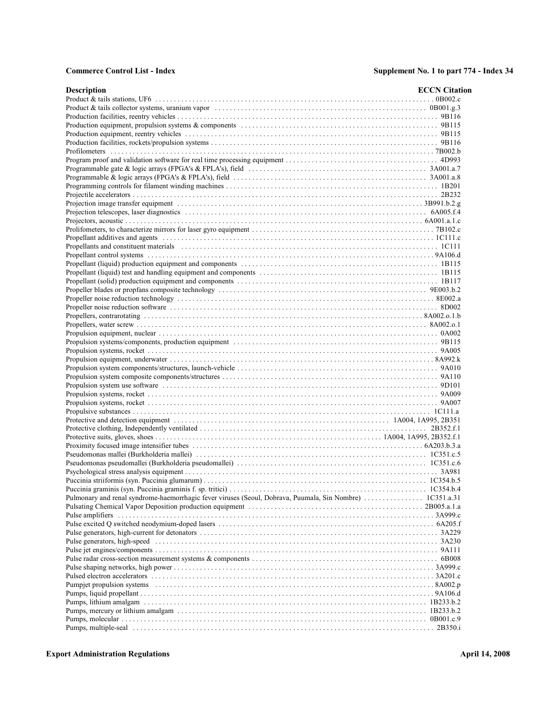| <b>Description</b> | <b>ECCN</b> Citation |
|--------------------|----------------------|
|                    |                      |
|                    |                      |
|                    |                      |
|                    |                      |
|                    |                      |
|                    |                      |
|                    |                      |
|                    |                      |
|                    |                      |
|                    |                      |
|                    |                      |
|                    |                      |
|                    |                      |
|                    |                      |
|                    |                      |
|                    |                      |
|                    |                      |
|                    |                      |
|                    |                      |
|                    |                      |
|                    |                      |
|                    |                      |
|                    |                      |
|                    |                      |
|                    |                      |
|                    |                      |
|                    |                      |
|                    |                      |
|                    |                      |
|                    |                      |
|                    |                      |
|                    |                      |
|                    |                      |
|                    |                      |
|                    |                      |
|                    |                      |
|                    |                      |
|                    |                      |
|                    |                      |
|                    |                      |
|                    |                      |
|                    |                      |
|                    |                      |
|                    |                      |
|                    |                      |
|                    |                      |
|                    |                      |
|                    |                      |
|                    |                      |
|                    |                      |
|                    |                      |
|                    |                      |
|                    |                      |
|                    |                      |
|                    |                      |
|                    |                      |
|                    |                      |
|                    |                      |
|                    |                      |
|                    |                      |
|                    |                      |
|                    |                      |
|                    |                      |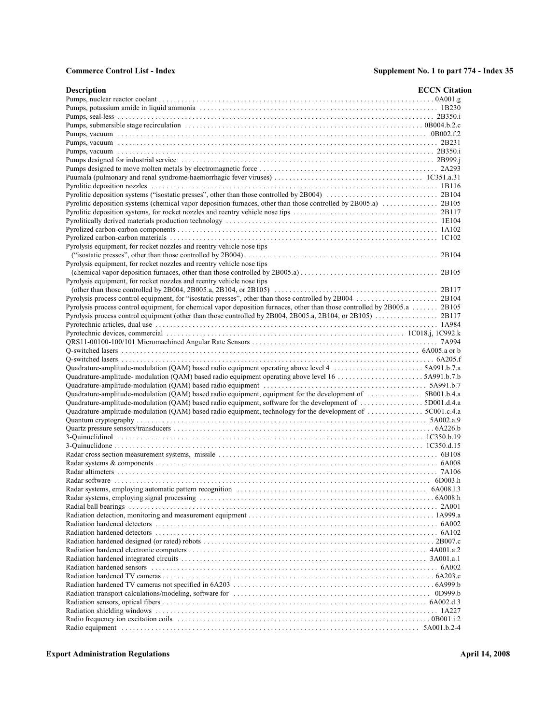| <b>Description</b>                                                                                                        | <b>ECCN</b> Citation |
|---------------------------------------------------------------------------------------------------------------------------|----------------------|
|                                                                                                                           |                      |
|                                                                                                                           |                      |
|                                                                                                                           |                      |
|                                                                                                                           |                      |
|                                                                                                                           |                      |
|                                                                                                                           |                      |
|                                                                                                                           |                      |
|                                                                                                                           |                      |
|                                                                                                                           |                      |
|                                                                                                                           |                      |
|                                                                                                                           |                      |
|                                                                                                                           |                      |
|                                                                                                                           |                      |
|                                                                                                                           |                      |
|                                                                                                                           |                      |
|                                                                                                                           |                      |
|                                                                                                                           |                      |
| Pyrolysis equipment, for rocket nozzles and reentry vehicle nose tips                                                     |                      |
|                                                                                                                           |                      |
| Pyrolysis equipment, for rocket nozzles and reentry vehicle nose tips                                                     |                      |
|                                                                                                                           |                      |
|                                                                                                                           |                      |
| Pyrolysis equipment, for rocket nozzles and reentry vehicle nose tips                                                     |                      |
|                                                                                                                           |                      |
|                                                                                                                           |                      |
| Pyrolysis process control equipment, for chemical vapor deposition furnaces, other than those controlled by 2B005.a 2B105 |                      |
|                                                                                                                           |                      |
|                                                                                                                           |                      |
|                                                                                                                           |                      |
|                                                                                                                           |                      |
|                                                                                                                           |                      |
|                                                                                                                           |                      |
|                                                                                                                           |                      |
| Quadrature-amplitude- modulation (QAM) based radio equipment operating above level 16 5A991.b.7.b                         |                      |
|                                                                                                                           |                      |
| Quadrature-amplitude-modulation (QAM) based radio equipment, equipment for the development of  5B001.b.4.a                |                      |
| Quadrature-amplitude-modulation (QAM) based radio equipment, software for the development of 5D001.d.4.a                  |                      |
| Quadrature-amplitude-modulation (QAM) based radio equipment, technology for the development of 5C001.c.4.a                |                      |
|                                                                                                                           |                      |
|                                                                                                                           |                      |
|                                                                                                                           |                      |
|                                                                                                                           |                      |
|                                                                                                                           |                      |
|                                                                                                                           |                      |
|                                                                                                                           |                      |
|                                                                                                                           |                      |
|                                                                                                                           |                      |
|                                                                                                                           |                      |
|                                                                                                                           |                      |
|                                                                                                                           |                      |
|                                                                                                                           |                      |
|                                                                                                                           |                      |
|                                                                                                                           |                      |
|                                                                                                                           |                      |
|                                                                                                                           |                      |
|                                                                                                                           |                      |
|                                                                                                                           |                      |
|                                                                                                                           |                      |
|                                                                                                                           |                      |
|                                                                                                                           |                      |
|                                                                                                                           |                      |
|                                                                                                                           |                      |
|                                                                                                                           |                      |
|                                                                                                                           |                      |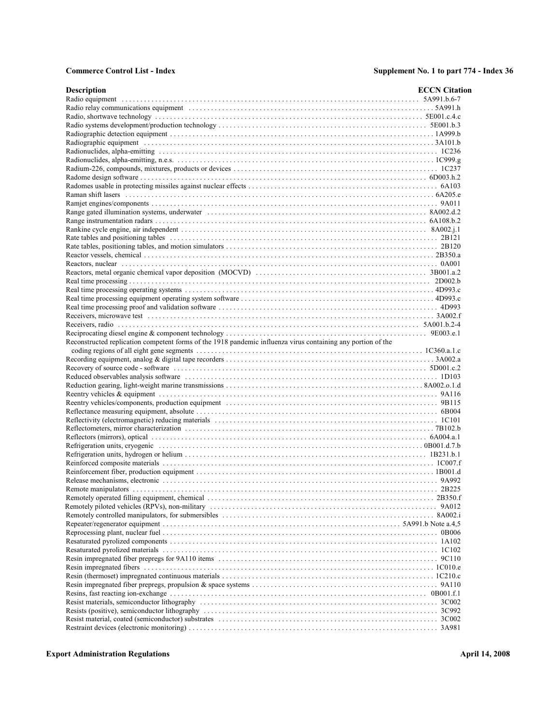| <b>Description</b>                                                                                           | <b>ECCN</b> Citation |
|--------------------------------------------------------------------------------------------------------------|----------------------|
|                                                                                                              |                      |
|                                                                                                              |                      |
|                                                                                                              |                      |
|                                                                                                              |                      |
|                                                                                                              |                      |
|                                                                                                              |                      |
|                                                                                                              |                      |
|                                                                                                              |                      |
|                                                                                                              |                      |
|                                                                                                              |                      |
|                                                                                                              |                      |
|                                                                                                              |                      |
|                                                                                                              |                      |
|                                                                                                              |                      |
|                                                                                                              |                      |
|                                                                                                              |                      |
|                                                                                                              |                      |
|                                                                                                              |                      |
|                                                                                                              |                      |
|                                                                                                              |                      |
|                                                                                                              |                      |
|                                                                                                              |                      |
|                                                                                                              |                      |
|                                                                                                              |                      |
|                                                                                                              |                      |
|                                                                                                              |                      |
| Reconstructed replication competent forms of the 1918 pandemic influenza virus containing any portion of the |                      |
|                                                                                                              |                      |
|                                                                                                              |                      |
|                                                                                                              |                      |
|                                                                                                              |                      |
|                                                                                                              |                      |
|                                                                                                              |                      |
|                                                                                                              |                      |
|                                                                                                              |                      |
|                                                                                                              |                      |
|                                                                                                              |                      |
|                                                                                                              |                      |
|                                                                                                              |                      |
|                                                                                                              |                      |
|                                                                                                              |                      |
|                                                                                                              |                      |
|                                                                                                              |                      |
|                                                                                                              |                      |
|                                                                                                              |                      |
|                                                                                                              |                      |
|                                                                                                              |                      |
|                                                                                                              |                      |
|                                                                                                              |                      |
|                                                                                                              |                      |
|                                                                                                              |                      |
|                                                                                                              |                      |
|                                                                                                              |                      |
|                                                                                                              |                      |
|                                                                                                              |                      |
|                                                                                                              |                      |
|                                                                                                              |                      |
|                                                                                                              |                      |
|                                                                                                              |                      |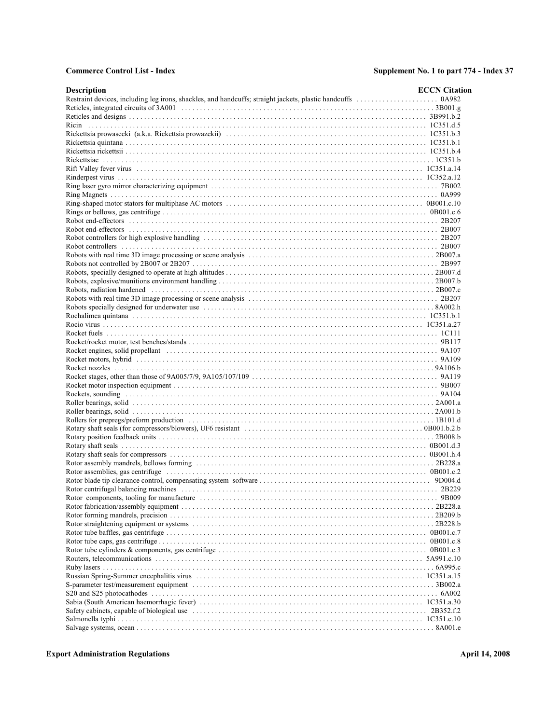| <b>Description</b>                                                                                                                                                                                                            | <b>ECCN</b> Citation |
|-------------------------------------------------------------------------------------------------------------------------------------------------------------------------------------------------------------------------------|----------------------|
|                                                                                                                                                                                                                               |                      |
|                                                                                                                                                                                                                               |                      |
|                                                                                                                                                                                                                               |                      |
|                                                                                                                                                                                                                               |                      |
|                                                                                                                                                                                                                               |                      |
|                                                                                                                                                                                                                               |                      |
|                                                                                                                                                                                                                               |                      |
|                                                                                                                                                                                                                               |                      |
|                                                                                                                                                                                                                               |                      |
|                                                                                                                                                                                                                               |                      |
|                                                                                                                                                                                                                               |                      |
|                                                                                                                                                                                                                               |                      |
|                                                                                                                                                                                                                               |                      |
|                                                                                                                                                                                                                               |                      |
|                                                                                                                                                                                                                               |                      |
|                                                                                                                                                                                                                               |                      |
|                                                                                                                                                                                                                               |                      |
|                                                                                                                                                                                                                               |                      |
|                                                                                                                                                                                                                               |                      |
|                                                                                                                                                                                                                               |                      |
|                                                                                                                                                                                                                               |                      |
|                                                                                                                                                                                                                               |                      |
|                                                                                                                                                                                                                               |                      |
|                                                                                                                                                                                                                               |                      |
|                                                                                                                                                                                                                               |                      |
| Robots specially designed for underwater use contact the contact of the set of the set of the set of the set of the set of the set of the set of the set of the set of the set of the set of the set of the set of the set of |                      |
|                                                                                                                                                                                                                               |                      |
|                                                                                                                                                                                                                               |                      |
|                                                                                                                                                                                                                               |                      |
|                                                                                                                                                                                                                               |                      |
|                                                                                                                                                                                                                               |                      |
|                                                                                                                                                                                                                               |                      |
|                                                                                                                                                                                                                               |                      |
|                                                                                                                                                                                                                               |                      |
|                                                                                                                                                                                                                               |                      |
|                                                                                                                                                                                                                               |                      |
|                                                                                                                                                                                                                               |                      |
|                                                                                                                                                                                                                               |                      |
|                                                                                                                                                                                                                               |                      |
|                                                                                                                                                                                                                               |                      |
|                                                                                                                                                                                                                               |                      |
|                                                                                                                                                                                                                               |                      |
|                                                                                                                                                                                                                               |                      |
|                                                                                                                                                                                                                               |                      |
|                                                                                                                                                                                                                               |                      |
|                                                                                                                                                                                                                               |                      |
|                                                                                                                                                                                                                               |                      |
|                                                                                                                                                                                                                               |                      |
|                                                                                                                                                                                                                               |                      |
|                                                                                                                                                                                                                               |                      |
|                                                                                                                                                                                                                               |                      |
|                                                                                                                                                                                                                               |                      |
|                                                                                                                                                                                                                               |                      |
|                                                                                                                                                                                                                               |                      |
|                                                                                                                                                                                                                               |                      |
|                                                                                                                                                                                                                               |                      |
|                                                                                                                                                                                                                               |                      |
|                                                                                                                                                                                                                               |                      |
|                                                                                                                                                                                                                               |                      |
|                                                                                                                                                                                                                               |                      |
|                                                                                                                                                                                                                               |                      |
|                                                                                                                                                                                                                               |                      |
|                                                                                                                                                                                                                               |                      |
|                                                                                                                                                                                                                               |                      |
|                                                                                                                                                                                                                               |                      |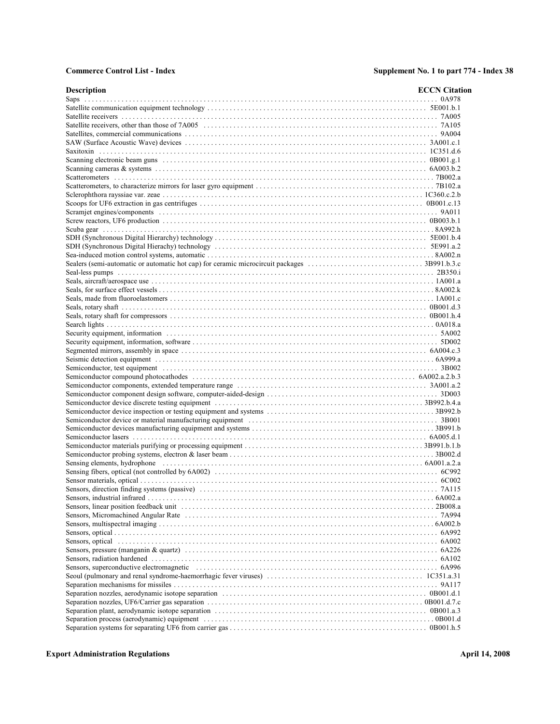| <b>Description</b> | <b>ECCN</b> Citation |
|--------------------|----------------------|
|                    |                      |
|                    |                      |
|                    |                      |
|                    |                      |
|                    |                      |
|                    |                      |
|                    |                      |
|                    |                      |
|                    |                      |
|                    |                      |
|                    |                      |
|                    |                      |
|                    |                      |
|                    |                      |
|                    |                      |
|                    |                      |
|                    |                      |
|                    |                      |
|                    |                      |
|                    |                      |
|                    |                      |
|                    |                      |
|                    |                      |
|                    |                      |
|                    |                      |
|                    |                      |
|                    |                      |
|                    |                      |
|                    |                      |
|                    |                      |
|                    |                      |
|                    |                      |
|                    |                      |
|                    |                      |
|                    |                      |
|                    |                      |
|                    |                      |
|                    |                      |
|                    |                      |
|                    |                      |
|                    |                      |
|                    |                      |
|                    |                      |
|                    |                      |
|                    |                      |
|                    |                      |
|                    |                      |
|                    |                      |
|                    |                      |
|                    |                      |
|                    |                      |
|                    |                      |
|                    |                      |
|                    |                      |
|                    |                      |
|                    |                      |
|                    |                      |
|                    |                      |
|                    |                      |
|                    |                      |
|                    |                      |
|                    |                      |
|                    |                      |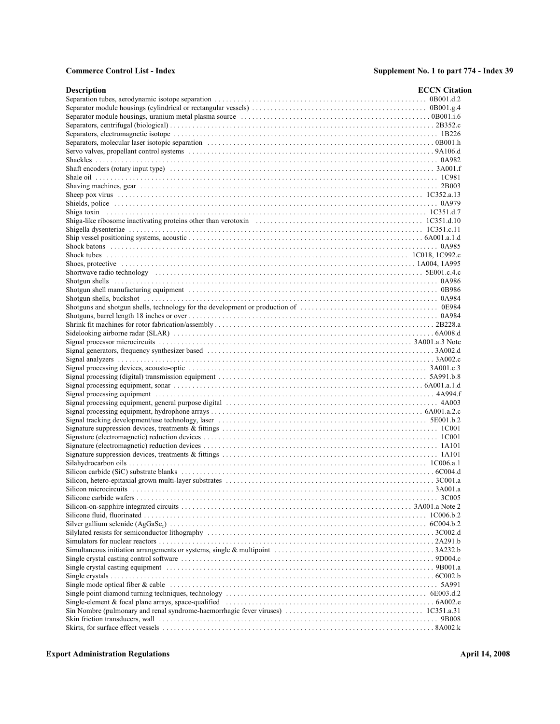| <b>Description</b>                                                                                              | <b>ECCN</b> Citation |
|-----------------------------------------------------------------------------------------------------------------|----------------------|
|                                                                                                                 |                      |
|                                                                                                                 |                      |
|                                                                                                                 |                      |
|                                                                                                                 |                      |
|                                                                                                                 |                      |
|                                                                                                                 |                      |
|                                                                                                                 |                      |
|                                                                                                                 |                      |
|                                                                                                                 |                      |
|                                                                                                                 |                      |
|                                                                                                                 |                      |
|                                                                                                                 |                      |
|                                                                                                                 |                      |
|                                                                                                                 |                      |
|                                                                                                                 |                      |
| Shiga-like ribosome inactivating proteins other than verotoxin contracts and the controller state of 10351.d.10 |                      |
|                                                                                                                 |                      |
|                                                                                                                 |                      |
|                                                                                                                 |                      |
|                                                                                                                 |                      |
|                                                                                                                 |                      |
|                                                                                                                 |                      |
|                                                                                                                 |                      |
|                                                                                                                 |                      |
|                                                                                                                 |                      |
|                                                                                                                 |                      |
|                                                                                                                 |                      |
|                                                                                                                 |                      |
|                                                                                                                 |                      |
|                                                                                                                 |                      |
|                                                                                                                 |                      |
|                                                                                                                 |                      |
|                                                                                                                 |                      |
|                                                                                                                 |                      |
|                                                                                                                 |                      |
|                                                                                                                 |                      |
|                                                                                                                 |                      |
|                                                                                                                 |                      |
|                                                                                                                 |                      |
|                                                                                                                 |                      |
|                                                                                                                 |                      |
|                                                                                                                 |                      |
|                                                                                                                 |                      |
|                                                                                                                 |                      |
|                                                                                                                 |                      |
|                                                                                                                 |                      |
|                                                                                                                 |                      |
|                                                                                                                 |                      |
|                                                                                                                 |                      |
|                                                                                                                 |                      |
|                                                                                                                 |                      |
|                                                                                                                 |                      |
|                                                                                                                 |                      |
|                                                                                                                 |                      |
|                                                                                                                 |                      |
|                                                                                                                 |                      |
|                                                                                                                 |                      |
|                                                                                                                 |                      |
|                                                                                                                 |                      |
|                                                                                                                 |                      |
|                                                                                                                 |                      |
|                                                                                                                 |                      |
|                                                                                                                 |                      |
|                                                                                                                 |                      |
|                                                                                                                 |                      |
|                                                                                                                 |                      |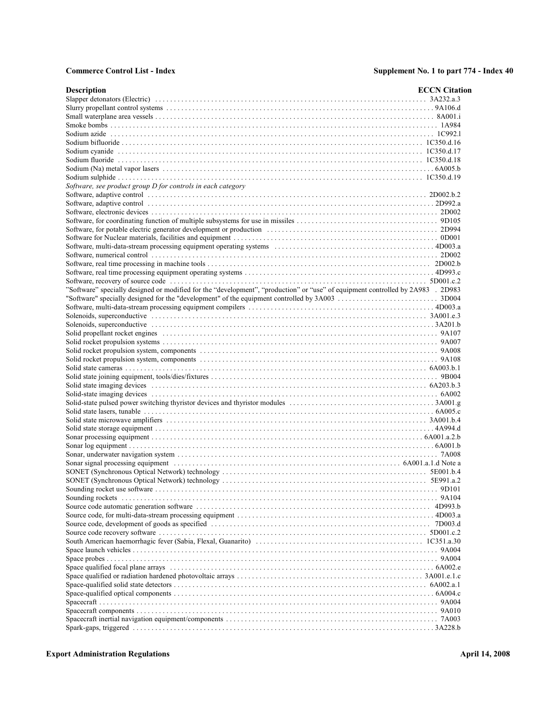| <b>Description</b>                                                                                                                                                                                                             | <b>ECCN</b> Citation |
|--------------------------------------------------------------------------------------------------------------------------------------------------------------------------------------------------------------------------------|----------------------|
|                                                                                                                                                                                                                                |                      |
|                                                                                                                                                                                                                                |                      |
|                                                                                                                                                                                                                                |                      |
|                                                                                                                                                                                                                                |                      |
|                                                                                                                                                                                                                                |                      |
|                                                                                                                                                                                                                                |                      |
|                                                                                                                                                                                                                                |                      |
|                                                                                                                                                                                                                                |                      |
|                                                                                                                                                                                                                                |                      |
|                                                                                                                                                                                                                                |                      |
| Software, see product group D for controls in each category                                                                                                                                                                    |                      |
| Software, adaptive control control control control control of the set of the set of the set of the set of the set of the set of the set of the set of the set of the set of the set of the set of the set of the set of the se |                      |
|                                                                                                                                                                                                                                |                      |
|                                                                                                                                                                                                                                |                      |
|                                                                                                                                                                                                                                |                      |
|                                                                                                                                                                                                                                |                      |
|                                                                                                                                                                                                                                |                      |
|                                                                                                                                                                                                                                |                      |
|                                                                                                                                                                                                                                |                      |
|                                                                                                                                                                                                                                |                      |
|                                                                                                                                                                                                                                |                      |
|                                                                                                                                                                                                                                |                      |
| "Software" specially designed or modified for the "development", "production" or "use" of equipment controlled by 2A983 . 2D983                                                                                                |                      |
|                                                                                                                                                                                                                                |                      |
|                                                                                                                                                                                                                                |                      |
|                                                                                                                                                                                                                                |                      |
|                                                                                                                                                                                                                                |                      |
|                                                                                                                                                                                                                                |                      |
| 9A107 Solid propellant rocket engines expansion contained a substantial problem of the state of the state of the state of the state of the state of the state of the state of the state of the state of the state of the state |                      |
|                                                                                                                                                                                                                                |                      |
|                                                                                                                                                                                                                                |                      |
|                                                                                                                                                                                                                                |                      |
|                                                                                                                                                                                                                                |                      |
|                                                                                                                                                                                                                                |                      |
|                                                                                                                                                                                                                                |                      |
|                                                                                                                                                                                                                                |                      |
|                                                                                                                                                                                                                                |                      |
|                                                                                                                                                                                                                                |                      |
|                                                                                                                                                                                                                                |                      |
|                                                                                                                                                                                                                                |                      |
|                                                                                                                                                                                                                                |                      |
|                                                                                                                                                                                                                                |                      |
|                                                                                                                                                                                                                                |                      |
|                                                                                                                                                                                                                                |                      |
|                                                                                                                                                                                                                                |                      |
|                                                                                                                                                                                                                                |                      |
|                                                                                                                                                                                                                                |                      |
|                                                                                                                                                                                                                                |                      |
|                                                                                                                                                                                                                                |                      |
|                                                                                                                                                                                                                                |                      |
|                                                                                                                                                                                                                                |                      |
|                                                                                                                                                                                                                                |                      |
|                                                                                                                                                                                                                                |                      |
|                                                                                                                                                                                                                                |                      |
|                                                                                                                                                                                                                                |                      |
|                                                                                                                                                                                                                                |                      |
|                                                                                                                                                                                                                                |                      |
|                                                                                                                                                                                                                                |                      |
|                                                                                                                                                                                                                                |                      |
|                                                                                                                                                                                                                                |                      |
|                                                                                                                                                                                                                                |                      |
|                                                                                                                                                                                                                                |                      |
|                                                                                                                                                                                                                                |                      |
|                                                                                                                                                                                                                                |                      |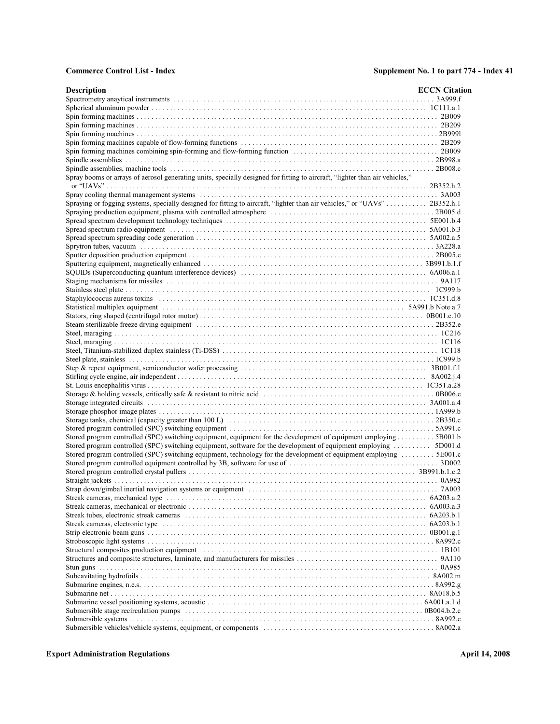| <b>Description</b>                                                                                                                                                                                                             | <b>ECCN</b> Citation |
|--------------------------------------------------------------------------------------------------------------------------------------------------------------------------------------------------------------------------------|----------------------|
|                                                                                                                                                                                                                                |                      |
|                                                                                                                                                                                                                                |                      |
|                                                                                                                                                                                                                                |                      |
|                                                                                                                                                                                                                                |                      |
|                                                                                                                                                                                                                                |                      |
|                                                                                                                                                                                                                                |                      |
|                                                                                                                                                                                                                                |                      |
|                                                                                                                                                                                                                                |                      |
|                                                                                                                                                                                                                                |                      |
| Spray booms or arrays of aerosol generating units, specially designed for fitting to aircraft, "lighter than air vehicles,"                                                                                                    |                      |
|                                                                                                                                                                                                                                |                      |
| Spraying or fogging systems, specially designed for fitting to aircraft, "lighter than air vehicles," or "UAVs"  2B352.h.1                                                                                                     |                      |
|                                                                                                                                                                                                                                |                      |
|                                                                                                                                                                                                                                |                      |
|                                                                                                                                                                                                                                |                      |
|                                                                                                                                                                                                                                |                      |
|                                                                                                                                                                                                                                |                      |
|                                                                                                                                                                                                                                |                      |
|                                                                                                                                                                                                                                |                      |
|                                                                                                                                                                                                                                |                      |
|                                                                                                                                                                                                                                |                      |
|                                                                                                                                                                                                                                |                      |
|                                                                                                                                                                                                                                |                      |
|                                                                                                                                                                                                                                |                      |
|                                                                                                                                                                                                                                |                      |
|                                                                                                                                                                                                                                |                      |
|                                                                                                                                                                                                                                |                      |
|                                                                                                                                                                                                                                |                      |
|                                                                                                                                                                                                                                |                      |
|                                                                                                                                                                                                                                |                      |
|                                                                                                                                                                                                                                |                      |
|                                                                                                                                                                                                                                |                      |
|                                                                                                                                                                                                                                |                      |
|                                                                                                                                                                                                                                |                      |
|                                                                                                                                                                                                                                |                      |
|                                                                                                                                                                                                                                |                      |
|                                                                                                                                                                                                                                |                      |
|                                                                                                                                                                                                                                |                      |
| Stored program controlled (SPC) switching equipment, equipment for the development of equipment employing 5B001.b                                                                                                              |                      |
| Stored program controlled (SPC) switching equipment, software for the development of equipment employing  5D001.d                                                                                                              |                      |
| Stored program controlled (SPC) switching equipment, technology for the development of equipment employing  5E001.c                                                                                                            |                      |
|                                                                                                                                                                                                                                |                      |
|                                                                                                                                                                                                                                |                      |
|                                                                                                                                                                                                                                |                      |
|                                                                                                                                                                                                                                |                      |
|                                                                                                                                                                                                                                |                      |
|                                                                                                                                                                                                                                |                      |
|                                                                                                                                                                                                                                |                      |
|                                                                                                                                                                                                                                |                      |
|                                                                                                                                                                                                                                |                      |
|                                                                                                                                                                                                                                |                      |
| Structural composites production equipment (exceptional content of the state of the state of the state of the state of the state of the state of the state of the state of the state of the state of the state of the state of |                      |
|                                                                                                                                                                                                                                |                      |
|                                                                                                                                                                                                                                |                      |
|                                                                                                                                                                                                                                |                      |
|                                                                                                                                                                                                                                |                      |
|                                                                                                                                                                                                                                |                      |
|                                                                                                                                                                                                                                |                      |
|                                                                                                                                                                                                                                |                      |
|                                                                                                                                                                                                                                |                      |
|                                                                                                                                                                                                                                |                      |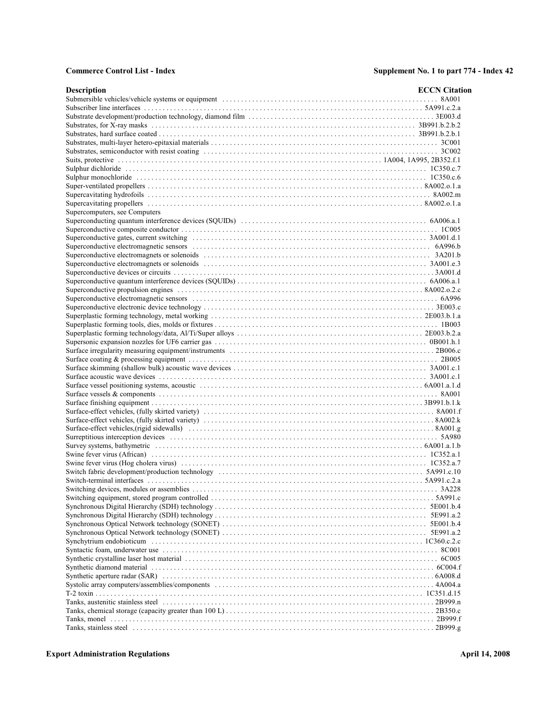| <b>Description</b>            | <b>ECCN</b> Citation |
|-------------------------------|----------------------|
|                               |                      |
|                               |                      |
|                               |                      |
|                               |                      |
|                               |                      |
|                               |                      |
|                               |                      |
|                               |                      |
|                               |                      |
|                               |                      |
|                               |                      |
|                               |                      |
|                               |                      |
| Supercomputers, see Computers |                      |
|                               |                      |
|                               |                      |
|                               |                      |
|                               |                      |
|                               |                      |
|                               |                      |
|                               |                      |
|                               |                      |
|                               |                      |
|                               |                      |
|                               |                      |
|                               |                      |
|                               |                      |
|                               |                      |
|                               |                      |
|                               |                      |
|                               |                      |
|                               |                      |
|                               |                      |
|                               |                      |
|                               |                      |
|                               |                      |
|                               |                      |
|                               |                      |
|                               |                      |
|                               |                      |
|                               |                      |
|                               |                      |
|                               |                      |
|                               |                      |
|                               |                      |
|                               |                      |
|                               |                      |
|                               |                      |
|                               |                      |
|                               |                      |
|                               |                      |
|                               |                      |
|                               |                      |
|                               |                      |
|                               |                      |
|                               |                      |
|                               |                      |
|                               |                      |
|                               |                      |
|                               |                      |
|                               |                      |
|                               |                      |
|                               |                      |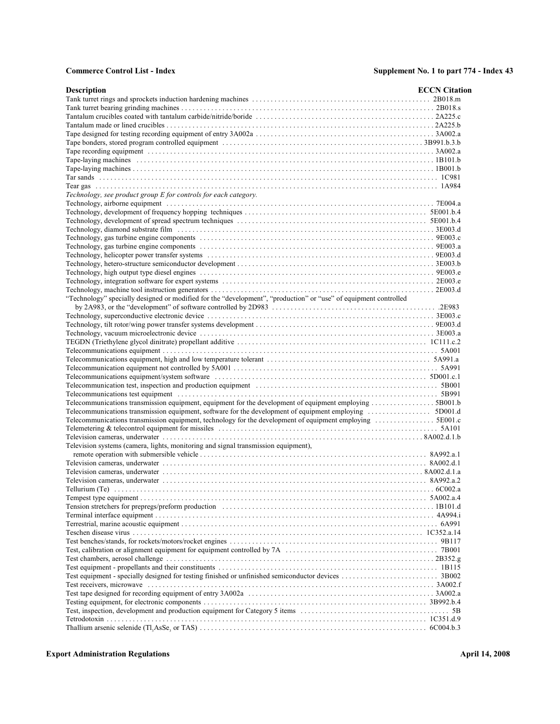| <b>Description</b>                                                                                                                                                                                                             | <b>ECCN</b> Citation |
|--------------------------------------------------------------------------------------------------------------------------------------------------------------------------------------------------------------------------------|----------------------|
|                                                                                                                                                                                                                                |                      |
|                                                                                                                                                                                                                                |                      |
|                                                                                                                                                                                                                                |                      |
|                                                                                                                                                                                                                                |                      |
|                                                                                                                                                                                                                                |                      |
|                                                                                                                                                                                                                                |                      |
|                                                                                                                                                                                                                                |                      |
|                                                                                                                                                                                                                                |                      |
|                                                                                                                                                                                                                                |                      |
|                                                                                                                                                                                                                                |                      |
|                                                                                                                                                                                                                                |                      |
| Technology, see product group E for controls for each category.                                                                                                                                                                |                      |
|                                                                                                                                                                                                                                |                      |
|                                                                                                                                                                                                                                |                      |
|                                                                                                                                                                                                                                |                      |
|                                                                                                                                                                                                                                |                      |
|                                                                                                                                                                                                                                |                      |
|                                                                                                                                                                                                                                |                      |
|                                                                                                                                                                                                                                |                      |
|                                                                                                                                                                                                                                |                      |
|                                                                                                                                                                                                                                |                      |
|                                                                                                                                                                                                                                |                      |
|                                                                                                                                                                                                                                |                      |
| "Technology" specially designed or modified for the "development", "production" or "use" of equipment controlled                                                                                                               |                      |
|                                                                                                                                                                                                                                |                      |
|                                                                                                                                                                                                                                |                      |
|                                                                                                                                                                                                                                |                      |
|                                                                                                                                                                                                                                |                      |
|                                                                                                                                                                                                                                |                      |
|                                                                                                                                                                                                                                |                      |
|                                                                                                                                                                                                                                |                      |
|                                                                                                                                                                                                                                |                      |
|                                                                                                                                                                                                                                |                      |
| Telecommunication test, inspection and production equipment contained and the state of the state of the state of the state of the state of the state of the state of the state of the state of the state of the state of the s |                      |
|                                                                                                                                                                                                                                |                      |
| Telecommunications transmission equipment, equipment for the development of equipment employing 5B001.b                                                                                                                        |                      |
| Telecommunications transmission equipment, software for the development of equipment employing 5D001.d                                                                                                                         |                      |
| Telecommunications transmission equipment, technology for the development of equipment employing 5E001.c                                                                                                                       |                      |
|                                                                                                                                                                                                                                |                      |
|                                                                                                                                                                                                                                |                      |
| Television systems (camera, lights, monitoring and signal transmission equipment),                                                                                                                                             |                      |
|                                                                                                                                                                                                                                |                      |
|                                                                                                                                                                                                                                |                      |
|                                                                                                                                                                                                                                |                      |
|                                                                                                                                                                                                                                |                      |
|                                                                                                                                                                                                                                |                      |
|                                                                                                                                                                                                                                |                      |
|                                                                                                                                                                                                                                |                      |
|                                                                                                                                                                                                                                |                      |
|                                                                                                                                                                                                                                |                      |
|                                                                                                                                                                                                                                |                      |
|                                                                                                                                                                                                                                |                      |
|                                                                                                                                                                                                                                |                      |
|                                                                                                                                                                                                                                |                      |
|                                                                                                                                                                                                                                |                      |
|                                                                                                                                                                                                                                |                      |
|                                                                                                                                                                                                                                |                      |
| Test receivers, microwave contained and according to the contained and the contained and the state of the state of the state of the state of the state of the state of the state of the state of the state of the state of the |                      |
|                                                                                                                                                                                                                                |                      |
|                                                                                                                                                                                                                                |                      |
|                                                                                                                                                                                                                                |                      |
|                                                                                                                                                                                                                                |                      |
|                                                                                                                                                                                                                                |                      |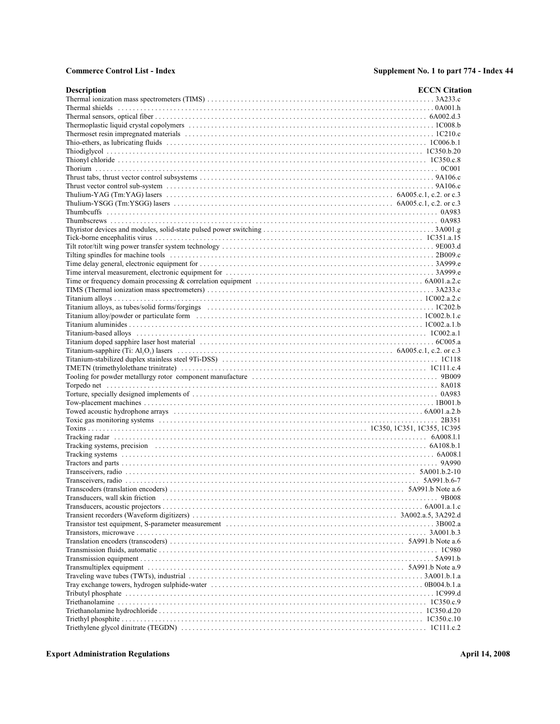| <b>Description</b>                                                                                                                                                                                                            | <b>ECCN</b> Citation |
|-------------------------------------------------------------------------------------------------------------------------------------------------------------------------------------------------------------------------------|----------------------|
|                                                                                                                                                                                                                               |                      |
|                                                                                                                                                                                                                               |                      |
|                                                                                                                                                                                                                               |                      |
|                                                                                                                                                                                                                               |                      |
|                                                                                                                                                                                                                               |                      |
|                                                                                                                                                                                                                               |                      |
|                                                                                                                                                                                                                               |                      |
|                                                                                                                                                                                                                               |                      |
|                                                                                                                                                                                                                               |                      |
|                                                                                                                                                                                                                               |                      |
|                                                                                                                                                                                                                               |                      |
|                                                                                                                                                                                                                               |                      |
|                                                                                                                                                                                                                               |                      |
|                                                                                                                                                                                                                               |                      |
|                                                                                                                                                                                                                               |                      |
|                                                                                                                                                                                                                               |                      |
|                                                                                                                                                                                                                               |                      |
|                                                                                                                                                                                                                               |                      |
|                                                                                                                                                                                                                               |                      |
|                                                                                                                                                                                                                               |                      |
|                                                                                                                                                                                                                               |                      |
|                                                                                                                                                                                                                               |                      |
|                                                                                                                                                                                                                               |                      |
|                                                                                                                                                                                                                               |                      |
|                                                                                                                                                                                                                               |                      |
|                                                                                                                                                                                                                               |                      |
|                                                                                                                                                                                                                               |                      |
|                                                                                                                                                                                                                               |                      |
|                                                                                                                                                                                                                               |                      |
| Titanium-based alloys (alloys) (1992) and the set of the set of the set of the set of the set of the set of the set of the set of the set of the set of the set of the set of the set of the set of the set of the set of the |                      |
|                                                                                                                                                                                                                               |                      |
| Titanium-sapphire (Ti: Al,O <sub>i</sub> ) lasers $\dots \dots \dots \dots \dots \dots \dots \dots \dots \dots \dots \dots \dots \dots \dots$ 6A005.c.1, c.2. or c.3                                                          |                      |
|                                                                                                                                                                                                                               |                      |
|                                                                                                                                                                                                                               |                      |
|                                                                                                                                                                                                                               |                      |
|                                                                                                                                                                                                                               |                      |
|                                                                                                                                                                                                                               |                      |
|                                                                                                                                                                                                                               |                      |
|                                                                                                                                                                                                                               |                      |
|                                                                                                                                                                                                                               |                      |
|                                                                                                                                                                                                                               |                      |
|                                                                                                                                                                                                                               |                      |
|                                                                                                                                                                                                                               |                      |
|                                                                                                                                                                                                                               |                      |
|                                                                                                                                                                                                                               |                      |
|                                                                                                                                                                                                                               |                      |
|                                                                                                                                                                                                                               |                      |
|                                                                                                                                                                                                                               |                      |
|                                                                                                                                                                                                                               |                      |
|                                                                                                                                                                                                                               |                      |
|                                                                                                                                                                                                                               |                      |
|                                                                                                                                                                                                                               |                      |
|                                                                                                                                                                                                                               |                      |
|                                                                                                                                                                                                                               |                      |
|                                                                                                                                                                                                                               |                      |
|                                                                                                                                                                                                                               |                      |
|                                                                                                                                                                                                                               |                      |
|                                                                                                                                                                                                                               |                      |
|                                                                                                                                                                                                                               |                      |
|                                                                                                                                                                                                                               |                      |
|                                                                                                                                                                                                                               |                      |
|                                                                                                                                                                                                                               |                      |
|                                                                                                                                                                                                                               |                      |
|                                                                                                                                                                                                                               |                      |
|                                                                                                                                                                                                                               |                      |
|                                                                                                                                                                                                                               |                      |
|                                                                                                                                                                                                                               |                      |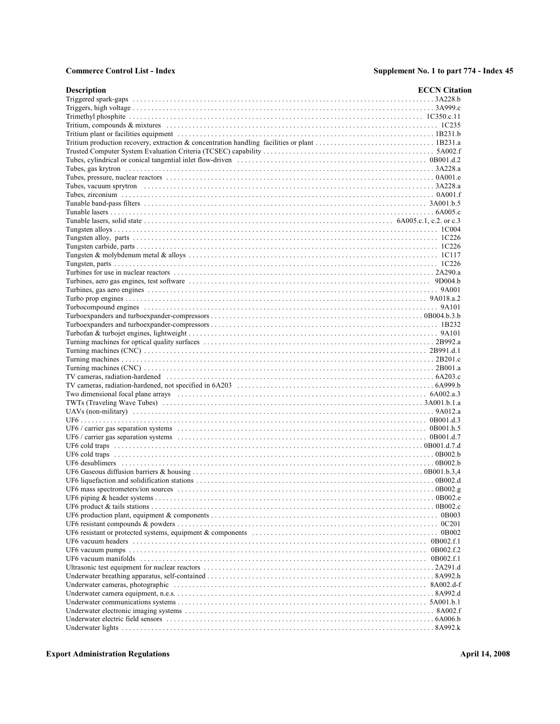| <b>Description</b>                                                                                                                                                                                                             | <b>ECCN</b> Citation |
|--------------------------------------------------------------------------------------------------------------------------------------------------------------------------------------------------------------------------------|----------------------|
|                                                                                                                                                                                                                                |                      |
|                                                                                                                                                                                                                                |                      |
|                                                                                                                                                                                                                                |                      |
|                                                                                                                                                                                                                                |                      |
|                                                                                                                                                                                                                                |                      |
|                                                                                                                                                                                                                                |                      |
|                                                                                                                                                                                                                                |                      |
|                                                                                                                                                                                                                                |                      |
|                                                                                                                                                                                                                                |                      |
|                                                                                                                                                                                                                                |                      |
|                                                                                                                                                                                                                                |                      |
|                                                                                                                                                                                                                                |                      |
|                                                                                                                                                                                                                                |                      |
|                                                                                                                                                                                                                                |                      |
| Tunable lasers, solid state $\dots \dots \dots \dots \dots \dots \dots \dots \dots \dots \dots \dots \dots \dots \dots \dots \dots$ 6A005.c.1, c.2. or c.3                                                                     |                      |
|                                                                                                                                                                                                                                |                      |
|                                                                                                                                                                                                                                |                      |
|                                                                                                                                                                                                                                |                      |
|                                                                                                                                                                                                                                |                      |
|                                                                                                                                                                                                                                |                      |
|                                                                                                                                                                                                                                |                      |
|                                                                                                                                                                                                                                |                      |
|                                                                                                                                                                                                                                |                      |
|                                                                                                                                                                                                                                |                      |
|                                                                                                                                                                                                                                |                      |
|                                                                                                                                                                                                                                |                      |
|                                                                                                                                                                                                                                |                      |
|                                                                                                                                                                                                                                |                      |
|                                                                                                                                                                                                                                |                      |
|                                                                                                                                                                                                                                |                      |
|                                                                                                                                                                                                                                |                      |
| TV cameras, radiation-hardened (a) material content of the content of the content of the content of the content of the content of the content of the content of the content of the content of the content of the content of th |                      |
|                                                                                                                                                                                                                                |                      |
|                                                                                                                                                                                                                                |                      |
|                                                                                                                                                                                                                                |                      |
|                                                                                                                                                                                                                                |                      |
|                                                                                                                                                                                                                                |                      |
|                                                                                                                                                                                                                                |                      |
|                                                                                                                                                                                                                                |                      |
|                                                                                                                                                                                                                                |                      |
|                                                                                                                                                                                                                                |                      |
|                                                                                                                                                                                                                                |                      |
|                                                                                                                                                                                                                                |                      |
|                                                                                                                                                                                                                                |                      |
|                                                                                                                                                                                                                                |                      |
|                                                                                                                                                                                                                                |                      |
|                                                                                                                                                                                                                                |                      |
|                                                                                                                                                                                                                                |                      |
|                                                                                                                                                                                                                                |                      |
|                                                                                                                                                                                                                                |                      |
|                                                                                                                                                                                                                                |                      |
|                                                                                                                                                                                                                                |                      |
|                                                                                                                                                                                                                                |                      |
|                                                                                                                                                                                                                                |                      |
|                                                                                                                                                                                                                                |                      |
|                                                                                                                                                                                                                                |                      |
|                                                                                                                                                                                                                                |                      |
|                                                                                                                                                                                                                                |                      |
|                                                                                                                                                                                                                                |                      |
|                                                                                                                                                                                                                                |                      |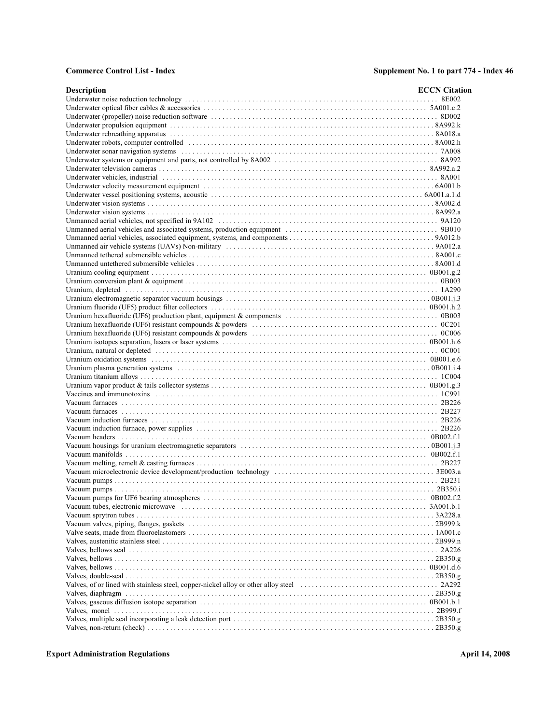| <b>Description</b>                                                                                                                                                                                                            | <b>ECCN</b> Citation |
|-------------------------------------------------------------------------------------------------------------------------------------------------------------------------------------------------------------------------------|----------------------|
|                                                                                                                                                                                                                               |                      |
|                                                                                                                                                                                                                               |                      |
|                                                                                                                                                                                                                               |                      |
|                                                                                                                                                                                                                               |                      |
|                                                                                                                                                                                                                               |                      |
|                                                                                                                                                                                                                               |                      |
|                                                                                                                                                                                                                               |                      |
|                                                                                                                                                                                                                               |                      |
|                                                                                                                                                                                                                               |                      |
| Underwater vehicles, industrial expansional contact the control of the control of the state of the state of the state of the state of the state of the state of the state of the state of the state of the state of the state |                      |
|                                                                                                                                                                                                                               |                      |
|                                                                                                                                                                                                                               |                      |
|                                                                                                                                                                                                                               |                      |
|                                                                                                                                                                                                                               |                      |
|                                                                                                                                                                                                                               |                      |
|                                                                                                                                                                                                                               |                      |
|                                                                                                                                                                                                                               |                      |
|                                                                                                                                                                                                                               |                      |
|                                                                                                                                                                                                                               |                      |
|                                                                                                                                                                                                                               |                      |
|                                                                                                                                                                                                                               |                      |
|                                                                                                                                                                                                                               |                      |
|                                                                                                                                                                                                                               |                      |
|                                                                                                                                                                                                                               |                      |
|                                                                                                                                                                                                                               |                      |
|                                                                                                                                                                                                                               |                      |
|                                                                                                                                                                                                                               |                      |
|                                                                                                                                                                                                                               |                      |
|                                                                                                                                                                                                                               |                      |
|                                                                                                                                                                                                                               |                      |
|                                                                                                                                                                                                                               |                      |
|                                                                                                                                                                                                                               |                      |
|                                                                                                                                                                                                                               |                      |
|                                                                                                                                                                                                                               |                      |
|                                                                                                                                                                                                                               |                      |
|                                                                                                                                                                                                                               |                      |
|                                                                                                                                                                                                                               |                      |
|                                                                                                                                                                                                                               |                      |
|                                                                                                                                                                                                                               |                      |
|                                                                                                                                                                                                                               |                      |
|                                                                                                                                                                                                                               |                      |
|                                                                                                                                                                                                                               |                      |
|                                                                                                                                                                                                                               |                      |
|                                                                                                                                                                                                                               |                      |
|                                                                                                                                                                                                                               |                      |
|                                                                                                                                                                                                                               |                      |
|                                                                                                                                                                                                                               |                      |
|                                                                                                                                                                                                                               |                      |
|                                                                                                                                                                                                                               |                      |
|                                                                                                                                                                                                                               |                      |
|                                                                                                                                                                                                                               |                      |
|                                                                                                                                                                                                                               |                      |
|                                                                                                                                                                                                                               |                      |
|                                                                                                                                                                                                                               |                      |
|                                                                                                                                                                                                                               |                      |
|                                                                                                                                                                                                                               |                      |
|                                                                                                                                                                                                                               |                      |
|                                                                                                                                                                                                                               |                      |
|                                                                                                                                                                                                                               |                      |
|                                                                                                                                                                                                                               |                      |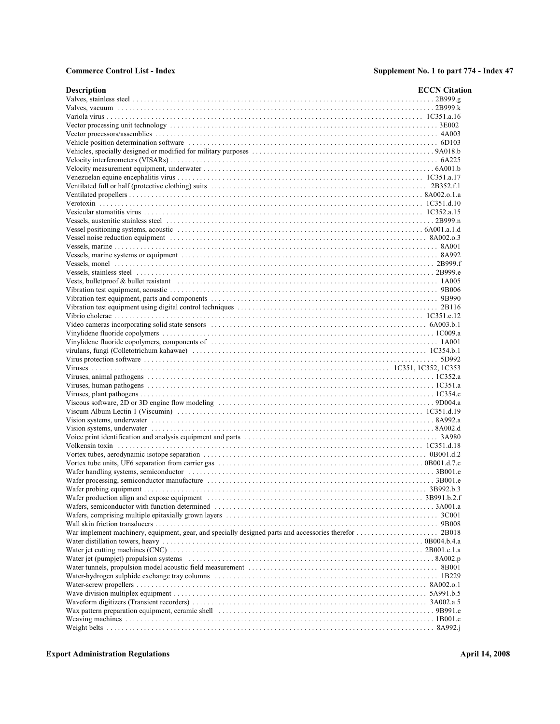| Description | <b>ECCN</b> Citation |
|-------------|----------------------|
|             |                      |
|             |                      |
|             |                      |
|             |                      |
|             |                      |
|             |                      |
|             |                      |
|             |                      |
|             |                      |
|             |                      |
|             |                      |
|             |                      |
|             |                      |
|             |                      |
|             |                      |
|             |                      |
|             |                      |
|             |                      |
|             |                      |
|             |                      |
|             |                      |
|             |                      |
|             |                      |
|             |                      |
|             |                      |
|             |                      |
|             |                      |
|             |                      |
|             |                      |
|             |                      |
|             |                      |
|             |                      |
|             |                      |
|             |                      |
|             |                      |
|             |                      |
|             |                      |
|             |                      |
|             |                      |
|             |                      |
|             |                      |
|             |                      |
|             |                      |
|             |                      |
|             |                      |
|             |                      |
|             |                      |
|             |                      |
|             |                      |
|             |                      |
|             |                      |
|             |                      |
|             |                      |
|             |                      |
|             |                      |
|             |                      |
|             |                      |
|             |                      |
|             |                      |
|             |                      |
|             |                      |
|             |                      |
|             |                      |